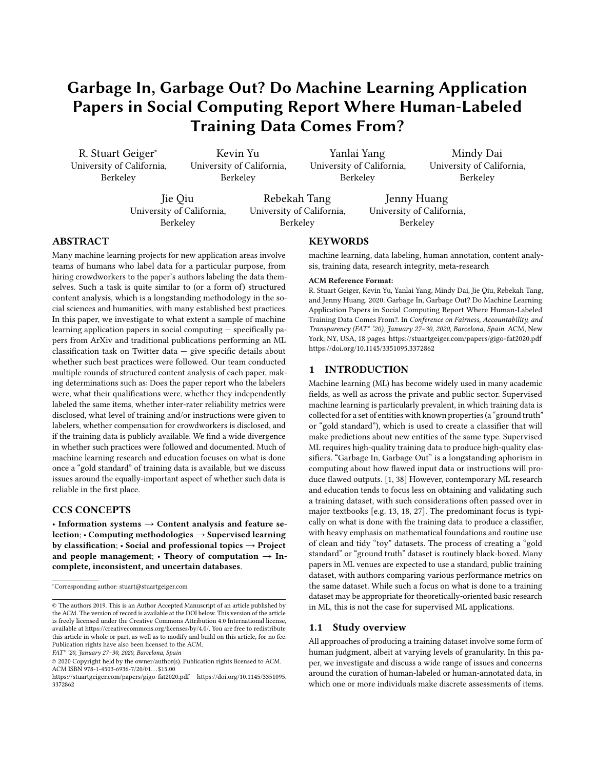# Garbage In, Garbage Out? Do Machine Learning Application Papers in Social Computing Report Where Human-Labeled Training Data Comes From?

R. Stuart Geiger<sup>∗</sup> University of California, Berkeley

Kevin Yu University of California, Berkeley

Yanlai Yang University of California, Berkeley

Mindy Dai University of California, Berkeley

Jie Qiu University of California, Berkeley

Rebekah Tang University of California, Berkeley

Jenny Huang University of California, Berkeley

# ABSTRACT

Many machine learning projects for new application areas involve teams of humans who label data for a particular purpose, from hiring crowdworkers to the paper's authors labeling the data themselves. Such a task is quite similar to (or a form of) structured content analysis, which is a longstanding methodology in the social sciences and humanities, with many established best practices. In this paper, we investigate to what extent a sample of machine learning application papers in social computing — specifically papers from ArXiv and traditional publications performing an ML classification task on Twitter data — give specific details about whether such best practices were followed. Our team conducted multiple rounds of structured content analysis of each paper, making determinations such as: Does the paper report who the labelers were, what their qualifications were, whether they independently labeled the same items, whether inter-rater reliability metrics were disclosed, what level of training and/or instructions were given to labelers, whether compensation for crowdworkers is disclosed, and if the training data is publicly available. We find a wide divergence in whether such practices were followed and documented. Much of machine learning research and education focuses on what is done once a "gold standard" of training data is available, but we discuss issues around the equally-important aspect of whether such data is reliable in the first place.

# CCS CONCEPTS

• Information systems  $\rightarrow$  Content analysis and feature selection; • Computing methodologies  $\rightarrow$  Supervised learning by classification;  $\cdot$  Social and professional topics  $\rightarrow$  Project and people management;  $\cdot$  Theory of computation  $\rightarrow$  Incomplete, inconsistent, and uncertain databases.

FAT\* '20, January 27–30, 2020, Barcelona, Spain

## **KEYWORDS**

machine learning, data labeling, human annotation, content analysis, training data, research integrity, meta-research

#### ACM Reference Format:

R. Stuart Geiger, Kevin Yu, Yanlai Yang, Mindy Dai, Jie Qiu, Rebekah Tang, and Jenny Huang. 2020. Garbage In, Garbage Out? Do Machine Learning Application Papers in Social Computing Report Where Human-Labeled Training Data Comes From?. In Conference on Fairness, Accountability, and Transparency (FAT\* '20), January 27–30, 2020, Barcelona, Spain. ACM, New York, NY, USA, [18](#page-17-0) pages.<https://stuartgeiger.com/papers/gigo-fat2020.pdf> <https://doi.org/10.1145/3351095.3372862>

# 1 INTRODUCTION

Machine learning (ML) has become widely used in many academic fields, as well as across the private and public sector. Supervised machine learning is particularly prevalent, in which training data is collected for a set of entities with known properties (a "ground truth" or "gold standard"), which is used to create a classifier that will make predictions about new entities of the same type. Supervised ML requires high-quality training data to produce high-quality classifiers. "Garbage In, Garbage Out" is a longstanding aphorism in computing about how flawed input data or instructions will produce flawed outputs. [\[1,](#page-10-0) [38\]](#page-10-1) However, contemporary ML research and education tends to focus less on obtaining and validating such a training dataset, with such considerations often passed over in major textbooks [e.g. [13,](#page-10-2) [18,](#page-10-3) [27\]](#page-10-4). The predominant focus is typically on what is done with the training data to produce a classifier, with heavy emphasis on mathematical foundations and routine use of clean and tidy "toy" datasets. The process of creating a "gold standard" or "ground truth" dataset is routinely black-boxed. Many papers in ML venues are expected to use a standard, public training dataset, with authors comparing various performance metrics on the same dataset. While such a focus on what is done to a training dataset may be appropriate for theoretically-oriented basic research in ML, this is not the case for supervised ML applications.

#### 1.1 Study overview

All approaches of producing a training dataset involve some form of human judgment, albeit at varying levels of granularity. In this paper, we investigate and discuss a wide range of issues and concerns around the curation of human-labeled or human-annotated data, in which one or more individuals make discrete assessments of items.

<sup>∗</sup>Corresponding author: stuart@stuartgeiger.com

<sup>©</sup> The authors 2019. This is an Author Accepted Manuscript of an article published by the ACM. The version of record is available at the DOI below. This version of the article is freely licensed under the Creative Commons Attribution 4.0 International license, available at [https://creativecommons.org/licenses/by/4.0/.](https://creativecommons.org/licenses/by/4.0/) You are free to redistribute this article in whole or part, as well as to modify and build on this article, for no fee. Publication rights have also been licensed to the ACM.

<sup>©</sup> 2020 Copyright held by the owner/author(s). Publication rights licensed to ACM. ACM ISBN 978-1-4503-6936-7/20/01...\$15.00

<https://stuartgeiger.com/papers/gigo-fat2020.pdf> [https://doi.org/10.1145/3351095.](https://doi.org/10.1145/3351095.3372862) [3372862](https://doi.org/10.1145/3351095.3372862)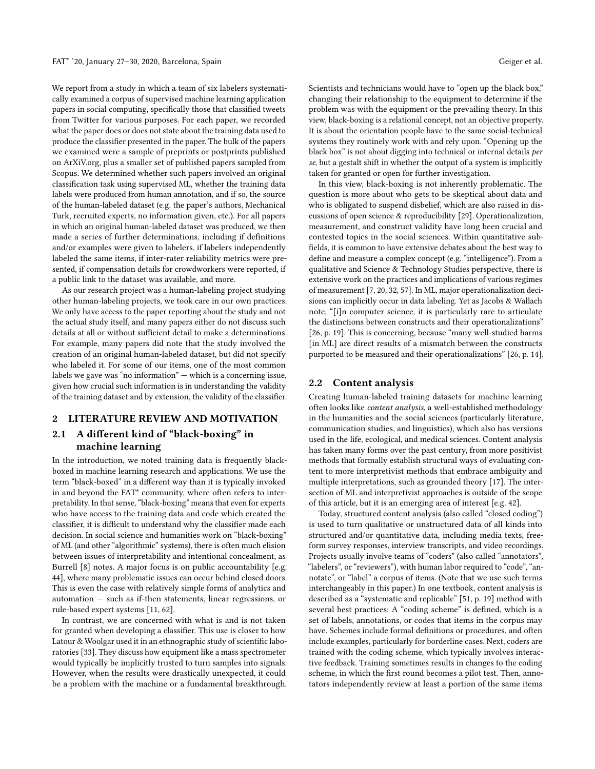We report from a study in which a team of six labelers systematically examined a corpus of supervised machine learning application papers in social computing, specifically those that classified tweets from Twitter for various purposes. For each paper, we recorded what the paper does or does not state about the training data used to produce the classifier presented in the paper. The bulk of the papers we examined were a sample of preprints or postprints published on ArXiV.org, plus a smaller set of published papers sampled from Scopus. We determined whether such papers involved an original classification task using supervised ML, whether the training data labels were produced from human annotation, and if so, the source of the human-labeled dataset (e.g. the paper's authors, Mechanical Turk, recruited experts, no information given, etc.). For all papers in which an original human-labeled dataset was produced, we then made a series of further determinations, including if definitions and/or examples were given to labelers, if labelers independently labeled the same items, if inter-rater reliability metrics were presented, if compensation details for crowdworkers were reported, if a public link to the dataset was available, and more.

As our research project was a human-labeling project studying other human-labeling projects, we took care in our own practices. We only have access to the paper reporting about the study and not the actual study itself, and many papers either do not discuss such details at all or without sufficient detail to make a determinations. For example, many papers did note that the study involved the creation of an original human-labeled dataset, but did not specify who labeled it. For some of our items, one of the most common labels we gave was "no information" — which is a concerning issue, given how crucial such information is in understanding the validity of the training dataset and by extension, the validity of the classifier.

# 2 LITERATURE REVIEW AND MOTIVATION

# 2.1 A different kind of "black-boxing" in machine learning

In the introduction, we noted training data is frequently blackboxed in machine learning research and applications. We use the term "black-boxed" in a different way than it is typically invoked in and beyond the FAT\* community, where often refers to interpretability. In that sense, "black-boxing" means that even for experts who have access to the training data and code which created the classifier, it is difficult to understand why the classifier made each decision. In social science and humanities work on "black-boxing" of ML (and other "algorithmic" systems), there is often much elision between issues of interpretability and intentional concealment, as Burrell [\[8\]](#page-10-5) notes. A major focus is on public accountability [e.g. [44\]](#page-10-6), where many problematic issues can occur behind closed doors. This is even the case with relatively simple forms of analytics and automation — such as if-then statements, linear regressions, or rule-based expert systems [\[11,](#page-10-7) [62\]](#page-11-0).

In contrast, we are concerned with what is and is not taken for granted when developing a classifier. This use is closer to how Latour & Woolgar used it in an ethnographic study of scientific laboratories [\[33\]](#page-10-8). They discuss how equipment like a mass spectrometer would typically be implicitly trusted to turn samples into signals. However, when the results were drastically unexpected, it could be a problem with the machine or a fundamental breakthrough. Scientists and technicians would have to "open up the black box," changing their relationship to the equipment to determine if the problem was with the equipment or the prevailing theory. In this view, black-boxing is a relational concept, not an objective property. It is about the orientation people have to the same social-technical systems they routinely work with and rely upon. "Opening up the black box" is not about digging into technical or internal details per se, but a gestalt shift in whether the output of a system is implicitly taken for granted or open for further investigation.

In this view, black-boxing is not inherently problematic. The question is more about who gets to be skeptical about data and who is obligated to suspend disbelief, which are also raised in discussions of open science & reproducibility [\[29\]](#page-10-9). Operationalization, measurement, and construct validity have long been crucial and contested topics in the social sciences. Within quantitative subfields, it is common to have extensive debates about the best way to define and measure a complex concept (e.g. "intelligence"). From a qualitative and Science & Technology Studies perspective, there is extensive work on the practices and implications of various regimes of measurement [\[7,](#page-10-10) [20,](#page-10-11) [32,](#page-10-12) [57\]](#page-11-1). In ML, major operationalization decisions can implicitly occur in data labeling. Yet as Jacobs & Wallach note, "[i]n computer science, it is particularly rare to articulate the distinctions between constructs and their operationalizations" [\[26,](#page-10-13) p. 19]. This is concerning, because "many well-studied harms [in ML] are direct results of a mismatch between the constructs purported to be measured and their operationalizations" [\[26,](#page-10-13) p. 14].

## 2.2 Content analysis

Creating human-labeled training datasets for machine learning often looks like content analysis, a well-established methodology in the humanities and the social sciences (particularly literature, communication studies, and linguistics), which also has versions used in the life, ecological, and medical sciences. Content analysis has taken many forms over the past century, from more positivist methods that formally establish structural ways of evaluating content to more interpretivist methods that embrace ambiguity and multiple interpretations, such as grounded theory [\[17\]](#page-10-14). The intersection of ML and interpretivist approaches is outside of the scope of this article, but it is an emerging area of interest [e.g. [42\]](#page-10-15).

Today, structured content analysis (also called "closed coding") is used to turn qualitative or unstructured data of all kinds into structured and/or quantitative data, including media texts, freeform survey responses, interview transcripts, and video recordings. Projects usually involve teams of "coders" (also called "annotators", "labelers", or "reviewers"), with human labor required to "code", "annotate", or "label" a corpus of items. (Note that we use such terms interchangeably in this paper.) In one textbook, content analysis is described as a "systematic and replicable" [\[51,](#page-11-2) p. 19] method with several best practices: A "coding scheme" is defined, which is a set of labels, annotations, or codes that items in the corpus may have. Schemes include formal definitions or procedures, and often include examples, particularly for borderline cases. Next, coders are trained with the coding scheme, which typically involves interactive feedback. Training sometimes results in changes to the coding scheme, in which the first round becomes a pilot test. Then, annotators independently review at least a portion of the same items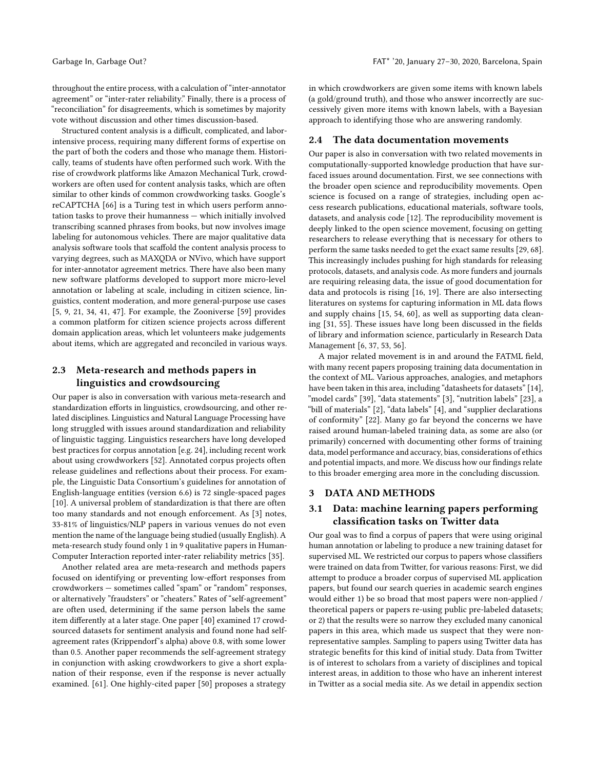throughout the entire process, with a calculation of "inter-annotator agreement" or "inter-rater reliability." Finally, there is a process of "reconciliation" for disagreements, which is sometimes by majority vote without discussion and other times discussion-based.

Structured content analysis is a difficult, complicated, and laborintensive process, requiring many different forms of expertise on the part of both the coders and those who manage them. Historically, teams of students have often performed such work. With the rise of crowdwork platforms like Amazon Mechanical Turk, crowdworkers are often used for content analysis tasks, which are often similar to other kinds of common crowdworking tasks. Google's reCAPTCHA [\[66\]](#page-11-3) is a Turing test in which users perform annotation tasks to prove their humanness — which initially involved transcribing scanned phrases from books, but now involves image labeling for autonomous vehicles. There are major qualitative data analysis software tools that scaffold the content analysis process to varying degrees, such as MAXQDA or NVivo, which have support for inter-annotator agreement metrics. There have also been many new software platforms developed to support more micro-level annotation or labeling at scale, including in citizen science, linguistics, content moderation, and more general-purpose use cases [\[5,](#page-10-16) [9,](#page-10-17) [21,](#page-10-18) [34,](#page-10-19) [41,](#page-10-20) [47\]](#page-11-4). For example, the Zooniverse [\[59\]](#page-11-5) provides a common platform for citizen science projects across different domain application areas, which let volunteers make judgements about items, which are aggregated and reconciled in various ways.

# 2.3 Meta-research and methods papers in linguistics and crowdsourcing

Our paper is also in conversation with various meta-research and standardization efforts in linguistics, crowdsourcing, and other related disciplines. Linguistics and Natural Language Processing have long struggled with issues around standardization and reliability of linguistic tagging. Linguistics researchers have long developed best practices for corpus annotation [e.g. [24\]](#page-10-21), including recent work about using crowdworkers [\[52\]](#page-11-6). Annotated corpus projects often release guidelines and reflections about their process. For example, the Linguistic Data Consortium's guidelines for annotation of English-language entities (version 6.6) is 72 single-spaced pages [\[10\]](#page-10-22). A universal problem of standardization is that there are often too many standards and not enough enforcement. As [\[3\]](#page-10-23) notes, 33-81% of linguistics/NLP papers in various venues do not even mention the name of the language being studied (usually English). A meta-research study found only 1 in 9 qualitative papers in Human-Computer Interaction reported inter-rater reliability metrics [\[35\]](#page-10-24).

Another related area are meta-research and methods papers focused on identifying or preventing low-effort responses from crowdworkers — sometimes called "spam" or "random" responses, or alternatively "fraudsters" or "cheaters." Rates of "self-agreement" are often used, determining if the same person labels the same item differently at a later stage. One paper [\[40\]](#page-10-25) examined 17 crowdsourced datasets for sentiment analysis and found none had selfagreement rates (Krippendorf's alpha) above 0.8, with some lower than 0.5. Another paper recommends the self-agreement strategy in conjunction with asking crowdworkers to give a short explanation of their response, even if the response is never actually examined. [\[61\]](#page-11-7). One highly-cited paper [\[50\]](#page-11-8) proposes a strategy

in which crowdworkers are given some items with known labels (a gold/ground truth), and those who answer incorrectly are successively given more items with known labels, with a Bayesian approach to identifying those who are answering randomly.

#### 2.4 The data documentation movements

Our paper is also in conversation with two related movements in computationally-supported knowledge production that have surfaced issues around documentation. First, we see connections with the broader open science and reproducibility movements. Open science is focused on a range of strategies, including open access research publications, educational materials, software tools, datasets, and analysis code [\[12\]](#page-10-26). The reproducibility movement is deeply linked to the open science movement, focusing on getting researchers to release everything that is necessary for others to perform the same tasks needed to get the exact same results [\[29,](#page-10-9) [68\]](#page-11-9). This increasingly includes pushing for high standards for releasing protocols, datasets, and analysis code. As more funders and journals are requiring releasing data, the issue of good documentation for data and protocols is rising [\[16,](#page-10-27) [19\]](#page-10-28). There are also intersecting literatures on systems for capturing information in ML data flows and supply chains [\[15,](#page-10-29) [54,](#page-11-10) [60\]](#page-11-11), as well as supporting data cleaning [\[31,](#page-10-30) [55\]](#page-11-12). These issues have long been discussed in the fields of library and information science, particularly in Research Data Management [\[6,](#page-10-31) [37,](#page-10-32) [53,](#page-11-13) [56\]](#page-11-14).

A major related movement is in and around the FATML field, with many recent papers proposing training data documentation in the context of ML. Various approaches, analogies, and metaphors have been taken in this area, including "datasheets for datasets" [\[14\]](#page-10-33), "model cards" [\[39\]](#page-10-34), "data statements" [\[3\]](#page-10-23), "nutrition labels" [\[23\]](#page-10-35), a "bill of materials" [\[2\]](#page-10-36), "data labels" [\[4\]](#page-10-37), and "supplier declarations of conformity" [\[22\]](#page-10-38). Many go far beyond the concerns we have raised around human-labeled training data, as some are also (or primarily) concerned with documenting other forms of training data, model performance and accuracy, bias, considerations of ethics and potential impacts, and more. We discuss how our findings relate to this broader emerging area more in the concluding discussion.

# 3 DATA AND METHODS

# 3.1 Data: machine learning papers performing classification tasks on Twitter data

Our goal was to find a corpus of papers that were using original human annotation or labeling to produce a new training dataset for supervised ML. We restricted our corpus to papers whose classifiers were trained on data from Twitter, for various reasons: First, we did attempt to produce a broader corpus of supervised ML application papers, but found our search queries in academic search engines would either 1) be so broad that most papers were non-applied / theoretical papers or papers re-using public pre-labeled datasets; or 2) that the results were so narrow they excluded many canonical papers in this area, which made us suspect that they were nonrepresentative samples. Sampling to papers using Twitter data has strategic benefits for this kind of initial study. Data from Twitter is of interest to scholars from a variety of disciplines and topical interest areas, in addition to those who have an inherent interest in Twitter as a social media site. As we detail in appendix section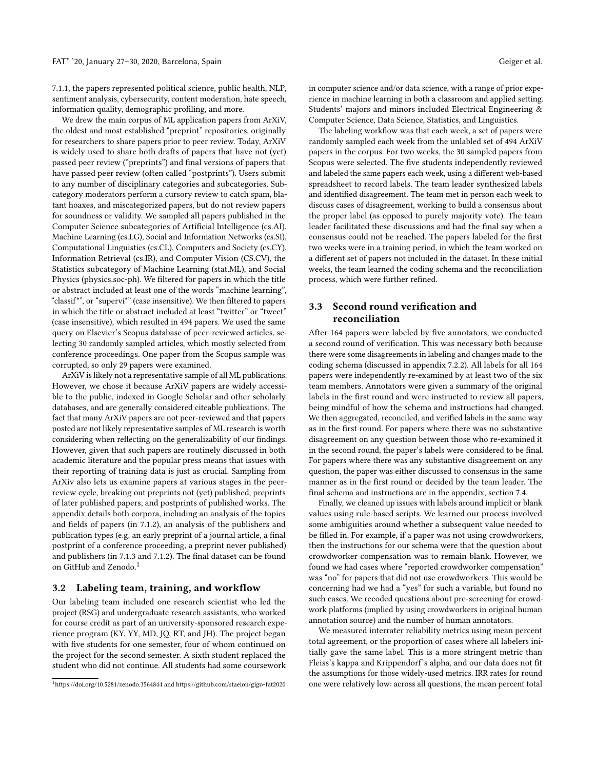[7.1.1,](#page-12-0) the papers represented political science, public health, NLP, sentiment analysis, cybersecurity, content moderation, hate speech, information quality, demographic profiling, and more.

We drew the main corpus of ML application papers from ArXiV, the oldest and most established "preprint" repositories, originally for researchers to share papers prior to peer review. Today, ArXiV is widely used to share both drafts of papers that have not (yet) passed peer review ("preprints") and final versions of papers that have passed peer review (often called "postprints"). Users submit to any number of disciplinary categories and subcategories. Subcategory moderators perform a cursory review to catch spam, blatant hoaxes, and miscategorized papers, but do not review papers for soundness or validity. We sampled all papers published in the Computer Science subcategories of Artificial Intelligence (cs.AI), Machine Learning (cs.LG), Social and Information Networks (cs.SI), Computational Linguistics (cs.CL), Computers and Society (cs.CY), Information Retrieval (cs.IR), and Computer Vision (CS.CV), the Statistics subcategory of Machine Learning (stat.ML), and Social Physics (physics.soc-ph). We filtered for papers in which the title or abstract included at least one of the words "machine learning", "classif\*", or "supervi\*" (case insensitive). We then filtered to papers in which the title or abstract included at least "twitter" or "tweet" (case insensitive), which resulted in 494 papers. We used the same query on Elsevier's Scopus database of peer-reviewed articles, selecting 30 randomly sampled articles, which mostly selected from conference proceedings. One paper from the Scopus sample was corrupted, so only 29 papers were examined.

ArXiV is likely not a representative sample of all ML publications. However, we chose it because ArXiV papers are widely accessible to the public, indexed in Google Scholar and other scholarly databases, and are generally considered citeable publications. The fact that many ArXiV papers are not peer-reviewed and that papers posted are not likely representative samples of ML research is worth considering when reflecting on the generalizability of our findings. However, given that such papers are routinely discussed in both academic literature and the popular press means that issues with their reporting of training data is just as crucial. Sampling from ArXiv also lets us examine papers at various stages in the peerreview cycle, breaking out preprints not (yet) published, preprints of later published papers, and postprints of published works. The appendix details both corpora, including an analysis of the topics and fields of papers (in [7.1.2\)](#page-12-1), an analysis of the publishers and publication types (e.g. an early preprint of a journal article, a final postprint of a conference proceeding, a preprint never published) and publishers (in [7.1.3](#page-13-0) and [7.1.2\)](#page-12-1). The final dataset can be found on GitHub and Zenodo.<sup>[1](#page-3-0)</sup>

## 3.2 Labeling team, training, and workflow

Our labeling team included one research scientist who led the project (RSG) and undergraduate research assistants, who worked for course credit as part of an university-sponsored research experience program (KY, YY, MD, JQ, RT, and JH). The project began with five students for one semester, four of whom continued on the project for the second semester. A sixth student replaced the student who did not continue. All students had some coursework in computer science and/or data science, with a range of prior experience in machine learning in both a classroom and applied setting. Students' majors and minors included Electrical Engineering & Computer Science, Data Science, Statistics, and Linguistics.

The labeling workflow was that each week, a set of papers were randomly sampled each week from the unlabled set of 494 ArXiV papers in the corpus. For two weeks, the 30 sampled papers from Scopus were selected. The five students independently reviewed and labeled the same papers each week, using a different web-based spreadsheet to record labels. The team leader synthesized labels and identified disagreement. The team met in person each week to discuss cases of disagreement, working to build a consensus about the proper label (as opposed to purely majority vote). The team leader facilitated these discussions and had the final say when a consensus could not be reached. The papers labeled for the first two weeks were in a training period, in which the team worked on a different set of papers not included in the dataset. In these initial weeks, the team learned the coding schema and the reconciliation process, which were further refined.

# 3.3 Second round verification and reconciliation

After 164 papers were labeled by five annotators, we conducted a second round of verification. This was necessary both because there were some disagreements in labeling and changes made to the coding schema (discussed in appendix [7.2.2\)](#page-15-0). All labels for all 164 papers were independently re-examined by at least two of the six team members. Annotators were given a summary of the original labels in the first round and were instructed to review all papers, being mindful of how the schema and instructions had changed. We then aggregated, reconciled, and verified labels in the same way as in the first round. For papers where there was no substantive disagreement on any question between those who re-examined it in the second round, the paper's labels were considered to be final. For papers where there was any substantive disagreement on any question, the paper was either discussed to consensus in the same manner as in the first round or decided by the team leader. The final schema and instructions are in the appendix, section [7.4.](#page-15-1)

Finally, we cleaned up issues with labels around implicit or blank values using rule-based scripts. We learned our process involved some ambiguities around whether a subsequent value needed to be filled in. For example, if a paper was not using crowdworkers, then the instructions for our schema were that the question about crowdworker compensation was to remain blank. However, we found we had cases where "reported crowdworker compensation" was "no" for papers that did not use crowdworkers. This would be concerning had we had a "yes" for such a variable, but found no such cases. We recoded questions about pre-screening for crowdwork platforms (implied by using crowdworkers in original human annotation source) and the number of human annotators.

We measured interrater reliability metrics using mean percent total agreement, or the proportion of cases where all labelers initially gave the same label. This is a more stringent metric than Fleiss's kappa and Krippendorf's alpha, and our data does not fit the assumptions for those widely-used metrics. IRR rates for round one were relatively low: across all questions, the mean percent total

<span id="page-3-0"></span><sup>1</sup><https://doi.org/10.5281/zenodo.3564844> and<https://github.com/staeiou/gigo-fat2020>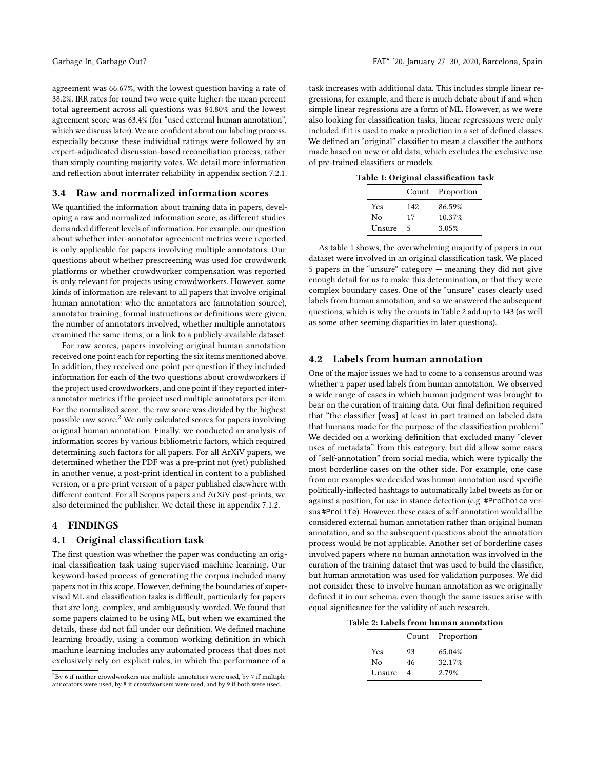agreement was 66.67%, with the lowest question having a rate of 38.2%. IRR rates for round two were quite higher: the mean percent total agreement across all questions was 84.80% and the lowest agreement score was 63.4% (for "used external human annotation", which we discuss later). We are confident about our labeling process, especially because these individual ratings were followed by an expert-adjudicated discussion-based reconciliation process, rather than simply counting majority votes. We detail more information and reflection about interrater reliability in appendix section [7.2.1.](#page-13-1)

# <span id="page-4-2"></span>3.4 Raw and normalized information scores

We quantified the information about training data in papers, developing a raw and normalized information score, as different studies demanded different levels of information. For example, our question about whether inter-annotator agreement metrics were reported is only applicable for papers involving multiple annotators. Our questions about whether prescreening was used for crowdwork platforms or whether crowdworker compensation was reported is only relevant for projects using crowdworkers. However, some kinds of information are relevant to all papers that involve original human annotation: who the annotators are (annotation source), annotator training, formal instructions or definitions were given, the number of annotators involved, whether multiple annotators examined the same items, or a link to a publicly-available dataset.

For raw scores, papers involving original human annotation received one point each for reporting the six items mentioned above. In addition, they received one point per question if they included information for each of the two questions about crowdworkers if the project used crowdworkers, and one point if they reported interannotator metrics if the project used multiple annotators per item. For the normalized score, the raw score was divided by the highest possible raw score.<sup>[2](#page-4-0)</sup> We only calculated scores for papers involving original human annotation. Finally, we conducted an analysis of information scores by various bibliometric factors, which required determining such factors for all papers. For all ArXiV papers, we determined whether the PDF was a pre-print not (yet) published in another venue, a post-print identical in content to a published version, or a pre-print version of a paper published elsewhere with different content. For all Scopus papers and ArXiV post-prints, we also determined the publisher. We detail these in appendix [7.1.2.](#page-12-1)

# 4 FINDINGS

#### 4.1 Original classification task

The first question was whether the paper was conducting an original classification task using supervised machine learning. Our keyword-based process of generating the corpus included many papers not in this scope. However, defining the boundaries of supervised ML and classification tasks is difficult, particularly for papers that are long, complex, and ambiguously worded. We found that some papers claimed to be using ML, but when we examined the details, these did not fall under our definition. We defined machine learning broadly, using a common working definition in which machine learning includes any automated process that does not exclusively rely on explicit rules, in which the performance of a

task increases with additional data. This includes simple linear regressions, for example, and there is much debate about if and when simple linear regressions are a form of ML. However, as we were also looking for classification tasks, linear regressions were only included if it is used to make a prediction in a set of defined classes. We defined an "original" classifier to mean a classifier the authors made based on new or old data, which excludes the exclusive use of pre-trained classifiers or models.

<span id="page-4-1"></span>Table 1: Original classification task

|        |     | Count Proportion |
|--------|-----|------------------|
| Yes    | 142 | 86.59%           |
| No     | 17  | 10.37%           |
| Unsure | 5   | 3.05%            |

As table [1](#page-4-1) shows, the overwhelming majority of papers in our dataset were involved in an original classification task. We placed 5 papers in the "unsure" category — meaning they did not give enough detail for us to make this determination, or that they were complex boundary cases. One of the "unsure" cases clearly used labels from human annotation, and so we answered the subsequent questions, which is why the counts in Table 2 add up to 143 (as well as some other seeming disparities in later questions).

# 4.2 Labels from human annotation

One of the major issues we had to come to a consensus around was whether a paper used labels from human annotation. We observed a wide range of cases in which human judgment was brought to bear on the curation of training data. Our final definition required that "the classifier [was] at least in part trained on labeled data that humans made for the purpose of the classification problem." We decided on a working definition that excluded many "clever uses of metadata" from this category, but did allow some cases of "self-annotation" from social media, which were typically the most borderline cases on the other side. For example, one case from our examples we decided was human annotation used specific politically-inflected hashtags to automatically label tweets as for or against a position, for use in stance detection (e.g. #ProChoice versus #ProLife). However, these cases of self-annotation would all be considered external human annotation rather than original human annotation, and so the subsequent questions about the annotation process would be not applicable. Another set of borderline cases involved papers where no human annotation was involved in the curation of the training dataset that was used to build the classifier, but human annotation was used for validation purposes. We did not consider these to involve human annotation as we originally defined it in our schema, even though the same issues arise with equal significance for the validity of such research.

Table 2: Labels from human annotation

|        |    | Count Proportion |
|--------|----|------------------|
| Yes    | 93 | 65.04%           |
| No     | 46 | 32.17%           |
| Unsure | 4  | 2.79%            |

<span id="page-4-0"></span> ${}^{2}$ By 6 if neither crowdworkers nor multiple annotators were used, by 7 if multiple annotators were used, by 8 if crowdworkers were used, and by 9 if both were used.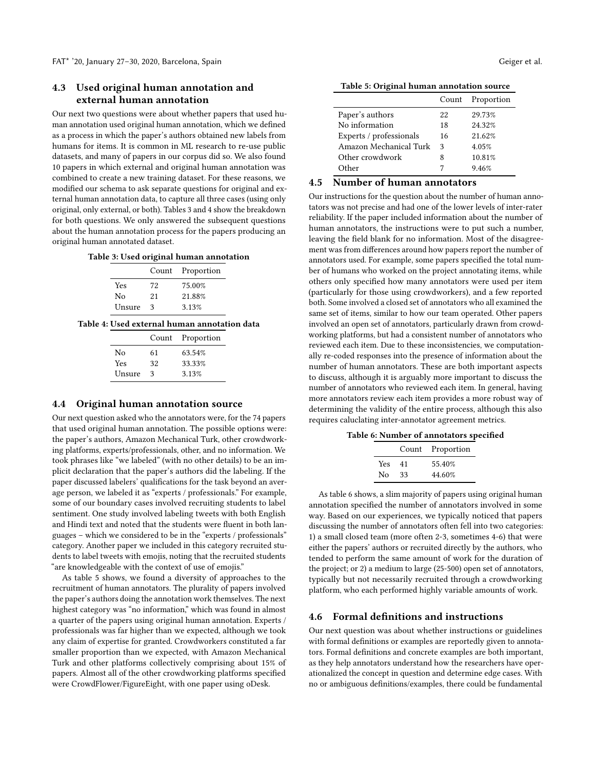# <span id="page-5-3"></span>4.3 Used original human annotation and external human annotation

Our next two questions were about whether papers that used human annotation used original human annotation, which we defined as a process in which the paper's authors obtained new labels from humans for items. It is common in ML research to re-use public datasets, and many of papers in our corpus did so. We also found 10 papers in which external and original human annotation was combined to create a new training dataset. For these reasons, we modified our schema to ask separate questions for original and external human annotation data, to capture all three cases (using only original, only external, or both). Tables [3](#page-5-0) and [4](#page-5-0) show the breakdown for both questions. We only answered the subsequent questions about the human annotation process for the papers producing an original human annotated dataset.

#### <span id="page-5-0"></span>Table 3: Used original human annotation

|        |    | Count Proportion |
|--------|----|------------------|
| Yes    | 72 | 75.00%           |
| Nο     | 21 | 21.88%           |
| Unsure | 3  | 3.13%            |

## Table 4: Used external human annotation data

|            | Count | Proportion |
|------------|-------|------------|
| Nο         | 61    | 63.54%     |
| <b>Yes</b> | 32    | 33.33%     |
| Unsure     | ٩     | 3.13%      |
|            |       |            |

## 4.4 Original human annotation source

Our next question asked who the annotators were, for the 74 papers that used original human annotation. The possible options were: the paper's authors, Amazon Mechanical Turk, other crowdworking platforms, experts/professionals, other, and no information. We took phrases like "we labeled" (with no other details) to be an implicit declaration that the paper's authors did the labeling. If the paper discussed labelers' qualifications for the task beyond an average person, we labeled it as "experts / professionals." For example, some of our boundary cases involved recruiting students to label sentiment. One study involved labeling tweets with both English and Hindi text and noted that the students were fluent in both languages – which we considered to be in the "experts / professionals" category. Another paper we included in this category recruited students to label tweets with emojis, noting that the recruited students "are knowledgeable with the context of use of emojis."

As table [5](#page-5-1) shows, we found a diversity of approaches to the recruitment of human annotators. The plurality of papers involved the paper's authors doing the annotation work themselves. The next highest category was "no information," which was found in almost a quarter of the papers using original human annotation. Experts / professionals was far higher than we expected, although we took any claim of expertise for granted. Crowdworkers constituted a far smaller proportion than we expected, with Amazon Mechanical Turk and other platforms collectively comprising about 15% of papers. Almost all of the other crowdworking platforms specified were CrowdFlower/FigureEight, with one paper using oDesk.

<span id="page-5-1"></span>Table 5: Original human annotation source

|                         | Count | Proportion |
|-------------------------|-------|------------|
| Paper's authors         | 22    | 29.73%     |
| No information          | 18    | 24.32%     |
| Experts / professionals | 16    | 21.62%     |
| Amazon Mechanical Turk  | 3     | 4.05%      |
| Other crowdwork         | 8     | 10.81%     |
| )ther                   |       | 9.46%      |

# 4.5 Number of human annotators

Our instructions for the question about the number of human annotators was not precise and had one of the lower levels of inter-rater reliability. If the paper included information about the number of human annotators, the instructions were to put such a number, leaving the field blank for no information. Most of the disagreement was from differences around how papers report the number of annotators used. For example, some papers specified the total number of humans who worked on the project annotating items, while others only specified how many annotators were used per item (particularly for those using crowdworkers), and a few reported both. Some involved a closed set of annotators who all examined the same set of items, similar to how our team operated. Other papers involved an open set of annotators, particularly drawn from crowdworking platforms, but had a consistent number of annotators who reviewed each item. Due to these inconsistencies, we computationally re-coded responses into the presence of information about the number of human annotators. These are both important aspects to discuss, although it is arguably more important to discuss the number of annotators who reviewed each item. In general, having more annotators review each item provides a more robust way of determining the validity of the entire process, although this also requires caluclating inter-annotator agreement metrics.

<span id="page-5-2"></span>

|     |    | Count Proportion |
|-----|----|------------------|
| Yes | 41 | 55.40%           |
| No. | 33 | 44.60%           |

As table [6](#page-5-2) shows, a slim majority of papers using original human annotation specified the number of annotators involved in some way. Based on our experiences, we typically noticed that papers discussing the number of annotators often fell into two categories: 1) a small closed team (more often 2-3, sometimes 4-6) that were either the papers' authors or recruited directly by the authors, who tended to perform the same amount of work for the duration of the project; or 2) a medium to large (25-500) open set of annotators, typically but not necessarily recruited through a crowdworking platform, who each performed highly variable amounts of work.

#### 4.6 Formal definitions and instructions

Our next question was about whether instructions or guidelines with formal definitions or examples are reportedly given to annotators. Formal definitions and concrete examples are both important, as they help annotators understand how the researchers have operationalized the concept in question and determine edge cases. With no or ambiguous definitions/examples, there could be fundamental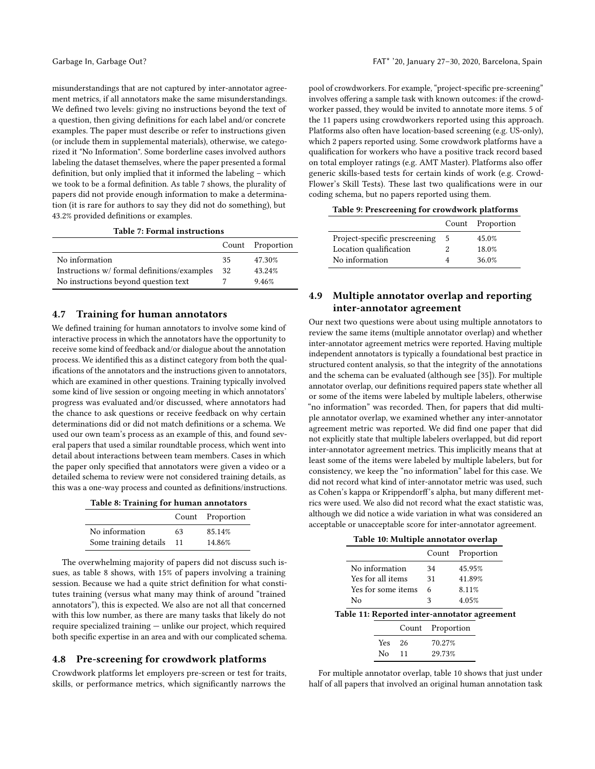misunderstandings that are not captured by inter-annotator agreement metrics, if all annotators make the same misunderstandings. We defined two levels: giving no instructions beyond the text of a question, then giving definitions for each label and/or concrete examples. The paper must describe or refer to instructions given (or include them in supplemental materials), otherwise, we categorized it "No Information". Some borderline cases involved authors labeling the dataset themselves, where the paper presented a formal definition, but only implied that it informed the labeling – which we took to be a formal definition. As table [7](#page-6-0) shows, the plurality of papers did not provide enough information to make a determination (it is rare for authors to say they did not do something), but 43.2% provided definitions or examples.

Table 7: Formal instructions

<span id="page-6-0"></span>

|                                            |    | Count Proportion |
|--------------------------------------------|----|------------------|
| No information                             | 35 | 47.30%           |
| Instructions w/formal definitions/examples | 32 | 43.24%           |
| No instructions beyond question text       |    | 9.46%            |

# 4.7 Training for human annotators

We defined training for human annotators to involve some kind of interactive process in which the annotators have the opportunity to receive some kind of feedback and/or dialogue about the annotation process. We identified this as a distinct category from both the qualifications of the annotators and the instructions given to annotators, which are examined in other questions. Training typically involved some kind of live session or ongoing meeting in which annotators' progress was evaluated and/or discussed, where annotators had the chance to ask questions or receive feedback on why certain determinations did or did not match definitions or a schema. We used our own team's process as an example of this, and found several papers that used a similar roundtable process, which went into detail about interactions between team members. Cases in which the paper only specified that annotators were given a video or a detailed schema to review were not considered training details, as this was a one-way process and counted as definitions/instructions.

<span id="page-6-1"></span>

|  |  |  |  | Table 8: Training for human annotators |
|--|--|--|--|----------------------------------------|
|--|--|--|--|----------------------------------------|

|                       |    | Count Proportion |
|-----------------------|----|------------------|
| No information        | 63 | 85.14%           |
| Some training details | 11 | 14.86%           |

The overwhelming majority of papers did not discuss such issues, as table [8](#page-6-1) shows, with 15% of papers involving a training session. Because we had a quite strict definition for what constitutes training (versus what many may think of around "trained annotators"), this is expected. We also are not all that concerned with this low number, as there are many tasks that likely do not require specialized training — unlike our project, which required both specific expertise in an area and with our complicated schema.

# 4.8 Pre-screening for crowdwork platforms

Crowdwork platforms let employers pre-screen or test for traits, skills, or performance metrics, which significantly narrows the

pool of crowdworkers. For example, "project-specific pre-screening" involves offering a sample task with known outcomes: if the crowdworker passed, they would be invited to annotate more items. 5 of the 11 papers using crowdworkers reported using this approach. Platforms also often have location-based screening (e.g. US-only), which 2 papers reported using. Some crowdwork platforms have a qualification for workers who have a positive track record based on total employer ratings (e.g. AMT Master). Platforms also offer generic skills-based tests for certain kinds of work (e.g. Crowd-Flower's Skill Tests). These last two qualifications were in our coding schema, but no papers reported using them.

| Table 9: Prescreening for crowdwork platforms |  |  |
|-----------------------------------------------|--|--|
|-----------------------------------------------|--|--|

|                               |   | Count Proportion |
|-------------------------------|---|------------------|
| Project-specific prescreening | 5 | 45.0%            |
| Location qualification        |   | 18.0%            |
| No information                |   | 36.0%            |

# 4.9 Multiple annotator overlap and reporting inter-annotator agreement

Our next two questions were about using multiple annotators to review the same items (multiple annotator overlap) and whether inter-annotator agreement metrics were reported. Having multiple independent annotators is typically a foundational best practice in structured content analysis, so that the integrity of the annotations and the schema can be evaluated (although see [\[35\]](#page-10-24)). For multiple annotator overlap, our definitions required papers state whether all or some of the items were labeled by multiple labelers, otherwise "no information" was recorded. Then, for papers that did multiple annotator overlap, we examined whether any inter-annotator agreement metric was reported. We did find one paper that did not explicitly state that multiple labelers overlapped, but did report inter-annotator agreement metrics. This implicitly means that at least some of the items were labeled by multiple labelers, but for consistency, we keep the "no information" label for this case. We did not record what kind of inter-annotator metric was used, such as Cohen's kappa or Krippendorff's alpha, but many different metrics were used. We also did not record what the exact statistic was, although we did notice a wide variation in what was considered an acceptable or unacceptable score for inter-annotator agreement.

|  |  |  |  | Table 10: Multiple annotator overlap |  |
|--|--|--|--|--------------------------------------|--|
|--|--|--|--|--------------------------------------|--|

<span id="page-6-2"></span>

|                                              |       | Count      | Proportion |
|----------------------------------------------|-------|------------|------------|
| No information                               |       | 34         | 45.95%     |
| Yes for all items                            |       | 31         | 41.89%     |
| Yes for some items                           |       | 6          | 8.11%      |
| No                                           |       | 3          | 4.05%      |
| Table 11: Reported inter-annotator agreement |       |            |            |
|                                              | Count | Proportion |            |
| Yes                                          | 26    | 70.27%     |            |

For multiple annotator overlap, table [10](#page-6-2) shows that just under half of all papers that involved an original human annotation task

No 11 29.73%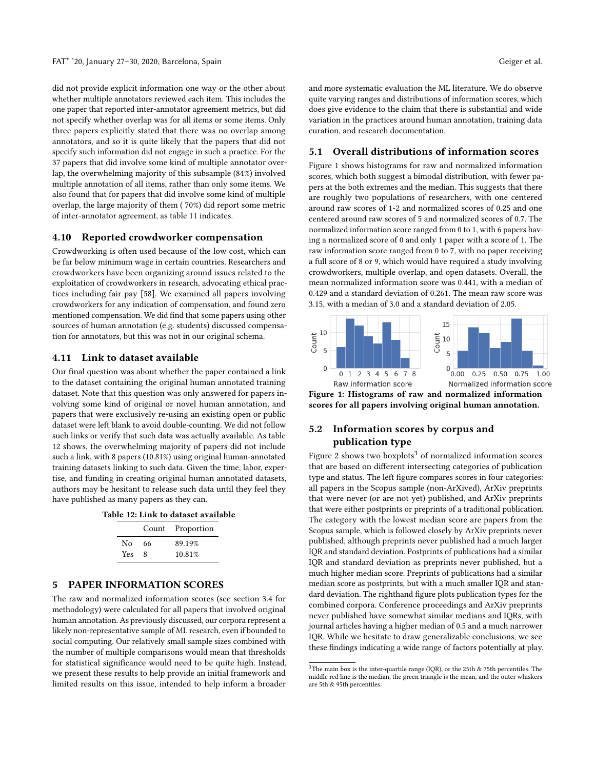did not provide explicit information one way or the other about whether multiple annotators reviewed each item. This includes the one paper that reported inter-annotator agreement metrics, but did not specify whether overlap was for all items or some items. Only three papers explicitly stated that there was no overlap among annotators, and so it is quite likely that the papers that did not specify such information did not engage in such a practice. For the 37 papers that did involve some kind of multiple annotator overlap, the overwhelming majority of this subsample (84%) involved multiple annotation of all items, rather than only some items. We also found that for papers that did involve some kind of multiple overlap, the large majority of them ( 70%) did report some metric of inter-annotator agreement, as table [11](#page-6-2) indicates.

#### 4.10 Reported crowdworker compensation

Crowdworking is often used because of the low cost, which can be far below minimum wage in certain countries. Researchers and crowdworkers have been organizing around issues related to the exploitation of crowdworkers in research, advocating ethical practices including fair pay [\[58\]](#page-11-15). We examined all papers involving crowdworkers for any indication of compensation, and found zero mentioned compensation. We did find that some papers using other sources of human annotation (e.g. students) discussed compensation for annotators, but this was not in our original schema.

# 4.11 Link to dataset available

Our final question was about whether the paper contained a link to the dataset containing the original human annotated training dataset. Note that this question was only answered for papers involving some kind of original or novel human annotation, and papers that were exclusively re-using an existing open or public dataset were left blank to avoid double-counting. We did not follow such links or verify that such data was actually available. As table [12](#page-7-0) shows, the overwhelming majority of papers did not include such a link, with 8 papers (10.81%) using original human-annotated training datasets linking to such data. Given the time, labor, expertise, and funding in creating original human annotated datasets, authors may be hesitant to release such data until they feel they have published as many papers as they can.

<span id="page-7-0"></span>

|  |  | Table 12: Link to dataset available |  |
|--|--|-------------------------------------|--|
|  |  |                                     |  |

|     |      | Count Proportion |
|-----|------|------------------|
| No. | - 66 | 89.19%           |
| Yes | -8   | 10.81%           |

# 5 PAPER INFORMATION SCORES

The raw and normalized information scores (see section [3.4](#page-4-2) for methodology) were calculated for all papers that involved original human annotation. As previously discussed, our corpora represent a likely non-representative sample of ML research, even if bounded to social computing. Our relatively small sample sizes combined with the number of multiple comparisons would mean that thresholds for statistical significance would need to be quite high. Instead, we present these results to help provide an initial framework and limited results on this issue, intended to help inform a broader

and more systematic evaluation the ML literature. We do observe quite varying ranges and distributions of information scores, which does give evidence to the claim that there is substantial and wide variation in the practices around human annotation, training data curation, and research documentation.

# 5.1 Overall distributions of information scores

Figure [1](#page-7-1) shows histograms for raw and normalized information scores, which both suggest a bimodal distribution, with fewer papers at the both extremes and the median. This suggests that there are roughly two populations of researchers, with one centered around raw scores of 1-2 and normalized scores of 0.25 and one centered around raw scores of 5 and normalized scores of 0.7. The normalized information score ranged from 0 to 1, with 6 papers having a normalized score of 0 and only 1 paper with a score of 1. The raw information score ranged from 0 to 7, with no paper receiving a full score of 8 or 9, which would have required a study involving crowdworkers, multiple overlap, and open datasets. Overall, the mean normalized information score was 0.441, with a median of 0.429 and a standard deviation of 0.261. The mean raw score was 3.15, with a median of 3.0 and a standard deviation of 2.05.

<span id="page-7-1"></span>



# 5.2 Information scores by corpus and publication type

Figure [2](#page-8-0) shows two boxplots<sup>[3](#page-7-2)</sup> of normalized information scores that are based on different intersecting categories of publication type and status. The left figure compares scores in four categories: all papers in the Scopus sample (non-ArXived), ArXiv preprints that were never (or are not yet) published, and ArXiv preprints that were either postprints or preprints of a traditional publication. The category with the lowest median score are papers from the Scopus sample, which is followed closely by ArXiv preprints never published, although preprints never published had a much larger IQR and standard deviation. Postprints of publications had a similar IQR and standard deviation as preprints never published, but a much higher median score. Preprints of publications had a similar median score as postprints, but with a much smaller IQR and standard deviation. The righthand figure plots publication types for the combined corpora. Conference proceedings and ArXiv preprints never published have somewhat similar medians and IQRs, with journal articles having a higher median of 0.5 and a much narrower IQR. While we hesitate to draw generalizable conclusions, we see these findings indicating a wide range of factors potentially at play.

<span id="page-7-2"></span> $^3$  The main box is the inter-quartile range (IQR), or the 25th  $\&$  75th percentiles. The middle red line is the median, the green triangle is the mean, and the outer whiskers are 5th & 95th percentiles.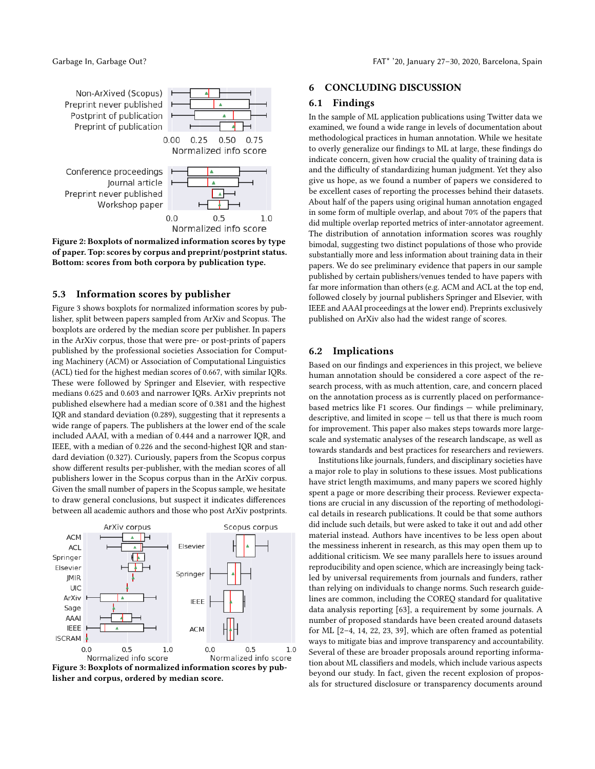<span id="page-8-0"></span>

Figure 2: Boxplots of normalized information scores by type of paper. Top: scores by corpus and preprint/postprint status. Bottom: scores from both corpora by publication type.

# 5.3 Information scores by publisher

Figure [3](#page-8-1) shows boxplots for normalized information scores by publisher, split between papers sampled from ArXiv and Scopus. The boxplots are ordered by the median score per publisher. In papers in the ArXiv corpus, those that were pre- or post-prints of papers published by the professional societies Association for Computing Machinery (ACM) or Association of Computational Linguistics (ACL) tied for the highest median scores of 0.667, with similar IQRs. These were followed by Springer and Elsevier, with respective medians 0.625 and 0.603 and narrower IQRs. ArXiv preprints not published elsewhere had a median score of 0.381 and the highest IQR and standard deviation (0.289), suggesting that it represents a wide range of papers. The publishers at the lower end of the scale included AAAI, with a median of 0.444 and a narrower IQR, and IEEE, with a median of 0.226 and the second-highest IQR and standard deviation (0.327). Curiously, papers from the Scopus corpus show different results per-publisher, with the median scores of all publishers lower in the Scopus corpus than in the ArXiv corpus. Given the small number of papers in the Scopus sample, we hesitate to draw general conclusions, but suspect it indicates differences between all academic authors and those who post ArXiv postprints.

<span id="page-8-1"></span>

Figure 3: Boxplots of normalized information scores by publisher and corpus, ordered by median score.

## 6 CONCLUDING DISCUSSION

## 6.1 Findings

In the sample of ML application publications using Twitter data we examined, we found a wide range in levels of documentation about methodological practices in human annotation. While we hesitate to overly generalize our findings to ML at large, these findings do indicate concern, given how crucial the quality of training data is and the difficulty of standardizing human judgment. Yet they also give us hope, as we found a number of papers we considered to be excellent cases of reporting the processes behind their datasets. About half of the papers using original human annotation engaged in some form of multiple overlap, and about 70% of the papers that did multiple overlap reported metrics of inter-annotator agreement. The distribution of annotation information scores was roughly bimodal, suggesting two distinct populations of those who provide substantially more and less information about training data in their papers. We do see preliminary evidence that papers in our sample published by certain publishers/venues tended to have papers with far more information than others (e.g. ACM and ACL at the top end, followed closely by journal publishers Springer and Elsevier, with IEEE and AAAI proceedings at the lower end). Preprints exclusively published on ArXiv also had the widest range of scores.

# 6.2 Implications

Based on our findings and experiences in this project, we believe human annotation should be considered a core aspect of the research process, with as much attention, care, and concern placed on the annotation process as is currently placed on performancebased metrics like F1 scores. Our findings — while preliminary, descriptive, and limited in scope — tell us that there is much room for improvement. This paper also makes steps towards more largescale and systematic analyses of the research landscape, as well as towards standards and best practices for researchers and reviewers.

Institutions like journals, funders, and disciplinary societies have a major role to play in solutions to these issues. Most publications have strict length maximums, and many papers we scored highly spent a page or more describing their process. Reviewer expectations are crucial in any discussion of the reporting of methodological details in research publications. It could be that some authors did include such details, but were asked to take it out and add other material instead. Authors have incentives to be less open about the messiness inherent in research, as this may open them up to additional criticism. We see many parallels here to issues around reproducibility and open science, which are increasingly being tackled by universal requirements from journals and funders, rather than relying on individuals to change norms. Such research guidelines are common, including the COREQ standard for qualitative data analysis reporting [\[63\]](#page-11-16), a requirement by some journals. A number of proposed standards have been created around datasets for ML [\[2](#page-10-36)[–4,](#page-10-37) [14,](#page-10-33) [22,](#page-10-38) [23,](#page-10-35) [39\]](#page-10-34), which are often framed as potential ways to mitigate bias and improve transparency and accountability. Several of these are broader proposals around reporting information about ML classifiers and models, which include various aspects beyond our study. In fact, given the recent explosion of proposals for structured disclosure or transparency documents around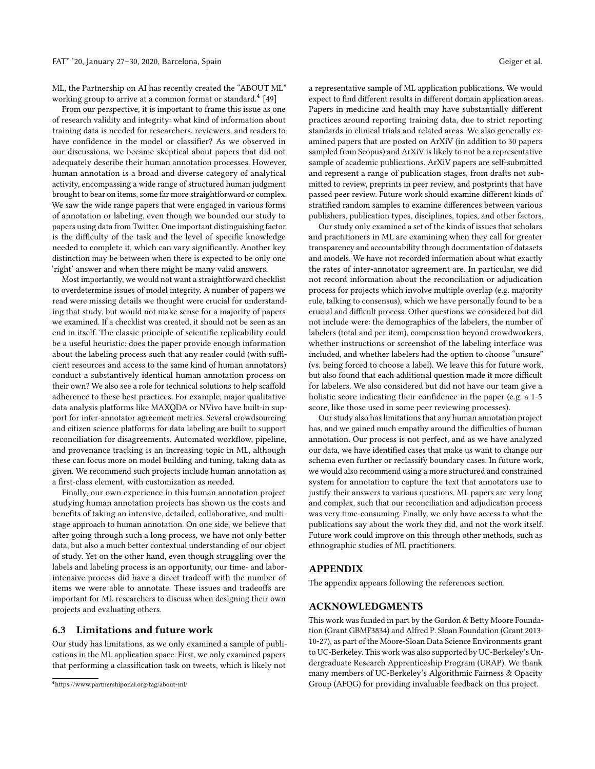ML, the Partnership on AI has recently created the "ABOUT ML" working group to arrive at a common format or standard. $^{4}$  $^{4}$  $^{4}$  [\[49\]](#page-11-17)

From our perspective, it is important to frame this issue as one of research validity and integrity: what kind of information about training data is needed for researchers, reviewers, and readers to have confidence in the model or classifier? As we observed in our discussions, we became skeptical about papers that did not adequately describe their human annotation processes. However, human annotation is a broad and diverse category of analytical activity, encompassing a wide range of structured human judgment brought to bear on items, some far more straightforward or complex. We saw the wide range papers that were engaged in various forms of annotation or labeling, even though we bounded our study to papers using data from Twitter. One important distinguishing factor is the difficulty of the task and the level of specific knowledge needed to complete it, which can vary significantly. Another key distinction may be between when there is expected to be only one 'right' answer and when there might be many valid answers.

Most importantly, we would not want a straightforward checklist to overdetermine issues of model integrity. A number of papers we read were missing details we thought were crucial for understanding that study, but would not make sense for a majority of papers we examined. If a checklist was created, it should not be seen as an end in itself. The classic principle of scientific replicability could be a useful heuristic: does the paper provide enough information about the labeling process such that any reader could (with sufficient resources and access to the same kind of human annotators) conduct a substantively identical human annotation process on their own? We also see a role for technical solutions to help scaffold adherence to these best practices. For example, major qualitative data analysis platforms like MAXQDA or NVivo have built-in support for inter-annotator agreement metrics. Several crowdsourcing and citizen science platforms for data labeling are built to support reconciliation for disagreements. Automated workflow, pipeline, and provenance tracking is an increasing topic in ML, although these can focus more on model building and tuning, taking data as given. We recommend such projects include human annotation as a first-class element, with customization as needed.

Finally, our own experience in this human annotation project studying human annotation projects has shown us the costs and benefits of taking an intensive, detailed, collaborative, and multistage approach to human annotation. On one side, we believe that after going through such a long process, we have not only better data, but also a much better contextual understanding of our object of study. Yet on the other hand, even though struggling over the labels and labeling process is an opportunity, our time- and laborintensive process did have a direct tradeoff with the number of items we were able to annotate. These issues and tradeoffs are important for ML researchers to discuss when designing their own projects and evaluating others.

## 6.3 Limitations and future work

Our study has limitations, as we only examined a sample of publications in the ML application space. First, we only examined papers that performing a classification task on tweets, which is likely not

a representative sample of ML application publications. We would expect to find different results in different domain application areas. Papers in medicine and health may have substantially different practices around reporting training data, due to strict reporting standards in clinical trials and related areas. We also generally examined papers that are posted on ArXiV (in addition to 30 papers sampled from Scopus) and ArXiV is likely to not be a representative sample of academic publications. ArXiV papers are self-submitted and represent a range of publication stages, from drafts not submitted to review, preprints in peer review, and postprints that have passed peer review. Future work should examine different kinds of stratified random samples to examine differences between various publishers, publication types, disciplines, topics, and other factors.

Our study only examined a set of the kinds of issues that scholars and practitioners in ML are examining when they call for greater transparency and accountability through documentation of datasets and models. We have not recorded information about what exactly the rates of inter-annotator agreement are. In particular, we did not record information about the reconciliation or adjudication process for projects which involve multiple overlap (e.g. majority rule, talking to consensus), which we have personally found to be a crucial and difficult process. Other questions we considered but did not include were: the demographics of the labelers, the number of labelers (total and per item), compensation beyond crowdworkers, whether instructions or screenshot of the labeling interface was included, and whether labelers had the option to choose "unsure" (vs. being forced to choose a label). We leave this for future work, but also found that each additional question made it more difficult for labelers. We also considered but did not have our team give a holistic score indicating their confidence in the paper (e.g. a 1-5 score, like those used in some peer reviewing processes).

Our study also has limitations that any human annotation project has, and we gained much empathy around the difficulties of human annotation. Our process is not perfect, and as we have analyzed our data, we have identified cases that make us want to change our schema even further or reclassify boundary cases. In future work, we would also recommend using a more structured and constrained system for annotation to capture the text that annotators use to justify their answers to various questions. ML papers are very long and complex, such that our reconciliation and adjudication process was very time-consuming. Finally, we only have access to what the publications say about the work they did, and not the work itself. Future work could improve on this through other methods, such as ethnographic studies of ML practitioners.

# APPENDIX

The appendix appears following the references section.

## ACKNOWLEDGMENTS

This work was funded in part by the Gordon & Betty Moore Foundation (Grant GBMF3834) and Alfred P. Sloan Foundation (Grant 2013- 10-27), as part of the Moore-Sloan Data Science Environments grant to UC-Berkeley. This work was also supported by UC-Berkeley's Undergraduate Research Apprenticeship Program (URAP). We thank many members of UC-Berkeley's Algorithmic Fairness & Opacity Group (AFOG) for providing invaluable feedback on this project.

<span id="page-9-0"></span><sup>4</sup><https://www.partnershiponai.org/tag/about-ml/>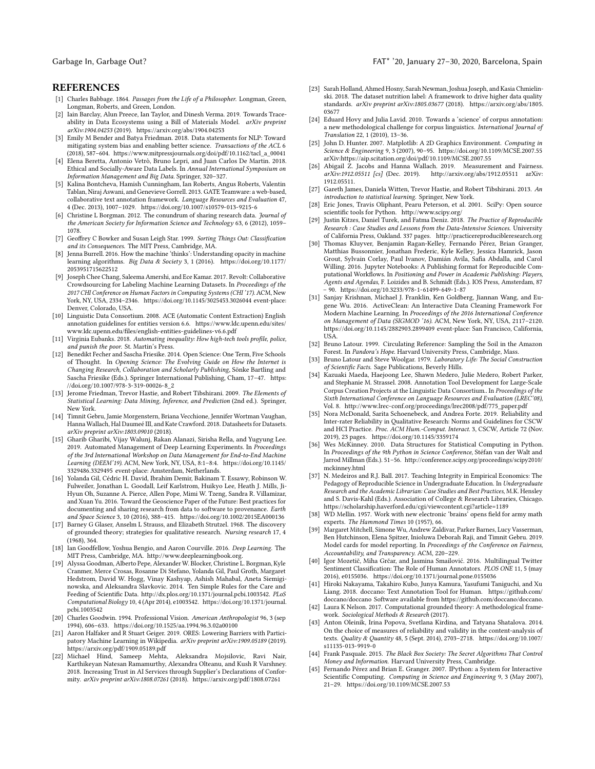## REFERENCES

- <span id="page-10-0"></span>[1] Charles Babbage. 1864. Passages from the Life of a Philosopher. Longman, Green, Longman, Roberts, and Green, London.
- <span id="page-10-36"></span>[2] Iain Barclay, Alun Preece, Ian Taylor, and Dinesh Verma. 2019. Towards Traceability in Data Ecosystems using a Bill of Materials Model. arXiv preprint arXiv:1904.04253 (2019).<https://arxiv.org/abs/1904.04253>
- <span id="page-10-23"></span>[3] Emily M Bender and Batya Friedman. 2018. Data statements for NLP: Toward mitigating system bias and enabling better science. Transactions of the ACL 6 (2018), 587–604. [https://www.mitpressjournals.org/doi/pdf/10.1162/tacl\\_a\\_00041](https://www.mitpressjournals.org/doi/pdf/10.1162/tacl_a_00041)
- <span id="page-10-37"></span>[4] Elena Beretta, Antonio Vetrò, Bruno Lepri, and Juan Carlos De Martin. 2018. Ethical and Socially-Aware Data Labels. In Annual International Symposium on Information Management and Big Data. Springer, 320–327.
- <span id="page-10-16"></span>[5] Kalina Bontcheva, Hamish Cunningham, Ian Roberts, Angus Roberts, Valentin Tablan, Niraj Aswani, and Genevieve Gorrell. 2013. GATE Teamware: a web-based, collaborative text annotation framework. Language Resources and Evaluation 47, 4 (Dec. 2013), 1007–1029.<https://doi.org/10.1007/s10579-013-9215-6>
- <span id="page-10-31"></span>[6] Christine L Borgman. 2012. The conundrum of sharing research data. Journal of the American Society for Information Science and Technology 63, 6 (2012), 1059– 1078.
- <span id="page-10-10"></span>[7] Geoffrey C Bowker and Susan Leigh Star. 1999. Sorting Things Out: Classification and its Consequences. The MIT Press, Cambridge, MA.
- <span id="page-10-5"></span>[8] Jenna Burrell. 2016. How the machine 'thinks': Understanding opacity in machine learning algorithms. Big Data & Society 3, 1 (2016). [https://doi.org/10.1177/](https://doi.org/10.1177/2053951715622512) [2053951715622512](https://doi.org/10.1177/2053951715622512)
- <span id="page-10-17"></span>[9] Joseph Chee Chang, Saleema Amershi, and Ece Kamar. 2017. Revolt: Collaborative Crowdsourcing for Labeling Machine Learning Datasets. In Proceedings of the 2017 CHI Conference on Human Factors in Computing Systems (CHI '17). ACM, New York, NY, USA, 2334–2346.<https://doi.org/10.1145/3025453.3026044> event-place: Denver, Colorado, USA.
- <span id="page-10-22"></span>[10] Linguistic Data Consortium. 2008. ACE (Automatic Content Extraction) English annotation guidelines for entities version 6.6. [https://www.ldc.upenn.edu/sites/](https://www.ldc.upenn.edu/sites/www.ldc.upenn.edu/files/english-entities-guidelines-v6.6.pdf) [www.ldc.upenn.edu/files/english-entities-guidelines-v6.6.pdf](https://www.ldc.upenn.edu/sites/www.ldc.upenn.edu/files/english-entities-guidelines-v6.6.pdf)
- <span id="page-10-7"></span>[11] Virginia Eubanks. 2018. Automating inequality: How high-tech tools profile, police, and punish the poor. St. Martin's Press.
- <span id="page-10-26"></span>[12] Benedikt Fecher and Sascha Friesike. 2014. Open Science: One Term, Five Schools of Thought. In Opening Science: The Evolving Guide on How the Internet is Changing Research, Collaboration and Scholarly Publishing, Sönke Bartling and Sascha Friesike (Eds.). Springer International Publishing, Cham, 17–47. [https:](https://doi.org/10.1007/978-3-319-00026-8_2) [//doi.org/10.1007/978-3-319-00026-8\\_2](https://doi.org/10.1007/978-3-319-00026-8_2)
- <span id="page-10-2"></span>[13] Jerome Friedman, Trevor Hastie, and Robert Tibshirani, 2009. The Elements of Statistical Learning: Data Mining, Inference, and Prediction (2nd ed.). Springer, New York.
- <span id="page-10-33"></span>[14] Timnit Gebru, Jamie Morgenstern, Briana Vecchione, Jennifer Wortman Vaughan, Hanna Wallach, Hal Daumeé III, and Kate Crawford. 2018. Datasheets for Datasets. arXiv preprint arXiv:1803.09010 (2018).
- <span id="page-10-29"></span>[15] Gharib Gharibi, Vijay Walunj, Rakan Alanazi, Sirisha Rella, and Yugyung Lee. 2019. Automated Management of Deep Learning Experiments. In Proceedings of the 3rd International Workshop on Data Management for End-to-End Machine Learning (DEEM'19). ACM, New York, NY, USA, 8:1–8:4. [https://doi.org/10.1145/](https://doi.org/10.1145/3329486.3329495) [3329486.3329495](https://doi.org/10.1145/3329486.3329495) event-place: Amsterdam, Netherlands.
- <span id="page-10-27"></span>[16] Yolanda Gil, Cédric H. David, Ibrahim Demir, Bakinam T. Essawy, Robinson W. Fulweiler, Jonathan L. Goodall, Leif Karlstrom, Huikyo Lee, Heath J. Mills, Ji-Hyun Oh, Suzanne A. Pierce, Allen Pope, Mimi W. Tzeng, Sandra R. Villamizar, and Xuan Yu. 2016. Toward the Geoscience Paper of the Future: Best practices for documenting and sharing research from data to software to provenance. Earth and Space Science 3, 10 (2016), 388–415.<https://doi.org/10.1002/2015EA000136>
- <span id="page-10-14"></span>[17] Barney G Glaser, Anselm L Strauss, and Elizabeth Strutzel. 1968. The discovery of grounded theory; strategies for qualitative research. Nursing research 17, 4 (1968), 364.
- <span id="page-10-3"></span>[18] Ian Goodfellow, Yoshua Bengio, and Aaron Courville. 2016. Deep Learning. The MIT Press, Cambridge, MA. [http://www.deeplearningbook.org.](http://www.deeplearningbook.org)
- <span id="page-10-28"></span>[19] Alyssa Goodman, Alberto Pepe, Alexander W. Blocker, Christine L. Borgman, Kyle Cranmer, Merce Crosas, Rosanne Di Stefano, Yolanda Gil, Paul Groth, Margaret Hedstrom, David W. Hogg, Vinay Kashyap, Ashish Mahabal, Aneta Siemiginowska, and Aleksandra Slavkovic. 2014. Ten Simple Rules for the Care and Feeding of Scientific Data. [http://dx.plos.org/10.1371/journal.pcbi.1003542.](http://dx.plos.org/10.1371/journal.pcbi.1003542) PLoS Computational Biology 10, 4 (Apr 2014), e1003542. [https://doi.org/10.1371/journal.](https://doi.org/10.1371/journal.pcbi.1003542) [pcbi.1003542](https://doi.org/10.1371/journal.pcbi.1003542)
- <span id="page-10-11"></span>[20] Charles Goodwin. 1994. Professional Vision. American Anthropologist 96, 3 (sep 1994), 606–633.<https://doi.org/10.1525/aa.1994.96.3.02a00100>
- <span id="page-10-18"></span>[21] Aaron Halfaker and R Stuart Geiger. 2019. ORES: Lowering Barriers with Participatory Machine Learning in Wikipedia. arXiv preprint arXiv:1909.05189 (2019). <https://arxiv.org/pdf/1909.05189.pdf>
- <span id="page-10-38"></span>[22] Michael Hind, Sameep Mehta, Aleksandra Mojsilovic, Ravi Nair, Karthikeyan Natesan Ramamurthy, Alexandra Olteanu, and Kush R Varshney. 2018. Increasing Trust in AI Services through Supplier's Declarations of Conformity. arXiv preprint arXiv:1808.07261 (2018).<https://arxiv.org/pdf/1808.07261>
- <span id="page-10-35"></span>[23] Sarah Holland, Ahmed Hosny, Sarah Newman, Joshua Joseph, and Kasia Chmielinski. 2018. The dataset nutrition label: A framework to drive higher data quality standards. arXiv preprint arXiv:1805.03677 (2018). [https://arxiv.org/abs/1805.](https://arxiv.org/abs/1805.03677) [03677](https://arxiv.org/abs/1805.03677)
- <span id="page-10-21"></span>[24] Eduard Hovy and Julia Lavid. 2010. Towards a 'science' of corpus annotation: a new methodological challenge for corpus linguistics. International Journal of Translation 22, 1 (2010), 13–36.
- <span id="page-10-42"></span>[25] John D. Hunter. 2007. Matplotlib: A 2D Graphics Environment. Computing in Science & Engineering 9, 3 (2007), 90–95.<https://doi.org/10.1109/MCSE.2007.55> arXiv[:https://aip.scitation.org/doi/pdf/10.1109/MCSE.2007.55](http://arxiv.org/abs/https://aip.scitation.org/doi/pdf/10.1109/MCSE.2007.55)
- <span id="page-10-13"></span>[26] Abigail Z. Jacobs and Hanna Wallach. 2019. Measurement and Fairness.<br>  $arXiv:1912.05511$  [cs] (Dec. 2019). http://arxiv.org/abs/1912.05511 arXiv: arXiv:1912.05511 [cs] (Dec. 2019). 1912.05511.
- <span id="page-10-4"></span>[27] Gareth James, Daniela Witten, Trevor Hastie, and Robert Tibshirani. 2013. An introduction to statistical learning. Springer, New York.
- <span id="page-10-41"></span>[28] Eric Jones, Travis Oliphant, Pearu Peterson, et al. 2001. SciPy: Open source scientific tools for Python.<http://www.scipy.org/>
- <span id="page-10-9"></span>[29] Justin Kitzes, Daniel Turek, and Fatma Deniz. 2018. The Practice of Reproducible Research : Case Studies and Lessons from the Data-Intensive Sciences. University of California Press, Oakland. 337 pages.<http://practicereproducibleresearch.org>
- <span id="page-10-43"></span>[30] Thomas Kluyver, Benjamin Ragan-Kelley, Fernando Pérez, Brian Granger, Matthias Bussonnier, Jonathan Frederic, Kyle Kelley, Jessica Hamrick, Jason Grout, Sylvain Corlay, Paul Ivanov, Damián Avila, Safia Abdalla, and Carol Willing. 2016. Jupyter Notebooks: A Publishing format for Reproducible Computational Workflows. In Positioning and Power in Academic Publishing: Players, Agents and Agendas, F. Loizides and B. Schmidt (Eds.). IOS Press, Amsterdam, 87 – 90.<https://doi.org/10.3233/978-1-61499-649-1-87>
- <span id="page-10-30"></span>[31] Sanjay Krishnan, Michael J. Franklin, Ken Goldberg, Jiannan Wang, and Eu-gene Wu. 2016. ActiveClean: An Interactive Data Cleaning Framework For Modern Machine Learning. In Proceedings of the 2016 International Conference on Management of Data (SIGMOD '16). ACM, New York, NY, USA, 2117–2120. <https://doi.org/10.1145/2882903.2899409> event-place: San Francisco, California, USA.
- <span id="page-10-12"></span>[32] Bruno Latour. 1999. Circulating Reference: Sampling the Soil in the Amazon Forest. In Pandora's Hope. Harvard University Press, Cambridge, Mass.
- <span id="page-10-8"></span>[33] Bruno Latour and Steve Woolgar. 1979. Laboratory Life: The Social Construction of Scientific Facts. Sage Publications, Beverly Hills.
- <span id="page-10-19"></span>[34] Kazuaki Maeda, Haejoong Lee, Shawn Medero, Julie Medero, Robert Parker, and Stephanie M. Strassel. 2008. Annotation Tool Development for Large-Scale Corpus Creation Projects at the Linguistic Data Consortium.. In Proceedings of the Sixth International Conference on Language Resources and Evaluation (LREC'08), Vol. 8. [http://www.lrec-conf.org/proceedings/lrec2008/pdf/775\\_paper.pdf](http://www.lrec-conf.org/proceedings/lrec2008/pdf/775_paper.pdf)
- <span id="page-10-24"></span>[35] Nora McDonald, Sarita Schoenebeck, and Andrea Forte. 2019. Reliability and Inter-rater Reliability in Qualitative Research: Norms and Guidelines for CSCW and HCI Practice. Proc. ACM Hum.-Comput. Interact. 3, CSCW, Article 72 (Nov. 2019), 23 pages.<https://doi.org/10.1145/3359174>
- <span id="page-10-40"></span>[36] Wes McKinney. 2010. Data Structures for Statistical Computing in Python. In Proceedings of the 9th Python in Science Conference, Stéfan van der Walt and Jarrod Millman (Eds.). 51–56. [http://conference.scipy.org/proceedings/scipy2010/](http://conference.scipy.org/proceedings/scipy2010/mckinney.html) [mckinney.html](http://conference.scipy.org/proceedings/scipy2010/mckinney.html)
- <span id="page-10-32"></span>[37] N. Medeiros and R.J. Ball. 2017. Teaching Integrity in Empirical Economics: The Pedagogy of Reproducible Science in Undergraduate Education. In Undergraduate Research and the Academic Librarian: Case Studies and Best Practices, M.K. Hensley and S. Davis-Kahl (Eds.). Association of College & Research Libraries, Chicago. <https://scholarship.haverford.edu/cgi/viewcontent.cgi?article=1189>
- <span id="page-10-1"></span>[38] WD Mellin. 1957. Work with new electronic 'brains' opens field for army math experts. The Hammond Times 10 (1957), 66.
- <span id="page-10-34"></span>[39] Margaret Mitchell, Simone Wu, Andrew Zaldivar, Parker Barnes, Lucy Vasserman, Ben Hutchinson, Elena Spitzer, Inioluwa Deborah Raji, and Timnit Gebru. 2019. Model cards for model reporting. In Proceedings of the Conference on Fairness, Accountability, and Transparency. ACM, 220–229.
- <span id="page-10-25"></span>[40] Igor Mozetič, Miha Grčar, and Jasmina Smailović. 2016. Multilingual Twitter Sentiment Classification: The Role of Human Annotators. PLOS ONE 11, 5 (may 2016), e0155036.<https://doi.org/10.1371/journal.pone.0155036>
- <span id="page-10-20"></span>[41] Hiroki Nakayama, Takahiro Kubo, Junya Kamura, Yasufumi Taniguchi, and Xu Liang. 2018. doccano: Text Annotation Tool for Human. [https://github.com/](https://github.com/doccano/doccano) [doccano/doccano](https://github.com/doccano/doccano) Software available from https://github.com/doccano/doccano.
- <span id="page-10-15"></span>[42] Laura K Nelson. 2017. Computational grounded theory: A methodological framework. Sociological Methods & Research (2017).
- <span id="page-10-39"></span>[43] Anton Oleinik, Irina Popova, Svetlana Kirdina, and Tatyana Shatalova. 2014. On the choice of measures of reliability and validity in the content-analysis of texts. Quality & Quantity 48, 5 (Sept. 2014), 2703–2718. [https://doi.org/10.1007/](https://doi.org/10.1007/s11135-013-9919-0) [s11135-013-9919-0](https://doi.org/10.1007/s11135-013-9919-0)
- <span id="page-10-6"></span>[44] Frank Pasquale. 2015. The Black Box Society: The Secret Algorithms That Control Money and Information. Harvard University Press, Cambridge.
- <span id="page-10-44"></span>[45] Fernando Pérez and Brian E. Granger. 2007. IPython: a System for Interactive Scientific Computing. Computing in Science and Engineering 9, 3 (May 2007), 21–29.<https://doi.org/10.1109/MCSE.2007.53>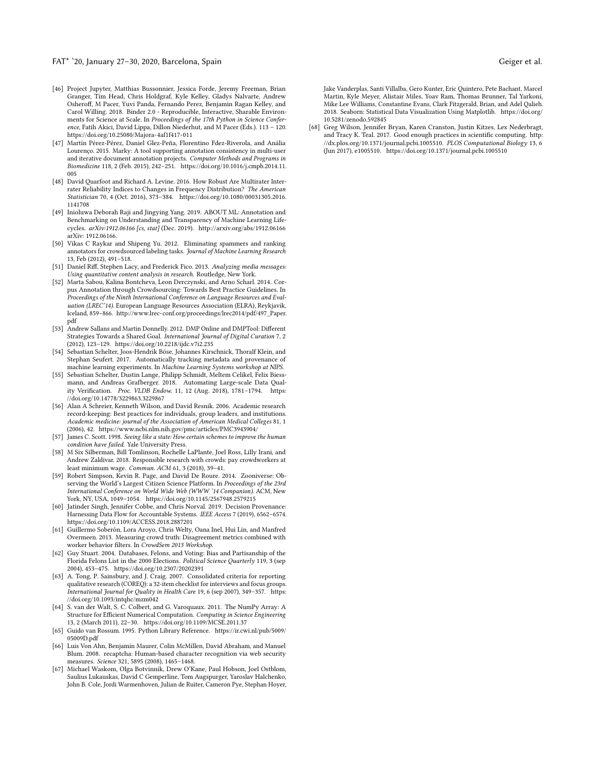#### FAT\* '20, January 27–30, 2020, Barcelona, Spain Geiger et al.

- <span id="page-11-22"></span>[46] Project Jupyter, Matthias Bussonnier, Jessica Forde, Jeremy Freeman, Brian Granger, Tim Head, Chris Holdgraf, Kyle Kelley, Gladys Nalvarte, Andrew Osheroff, M Pacer, Yuvi Panda, Fernando Perez, Benjamin Ragan Kelley, and Carol Willing. 2018. Binder 2.0 - Reproducible, Interactive, Sharable Environments for Science at Scale. In Proceedings of the 17th Python in Science Conference, Fatih Akici, David Lippa, Dillon Niederhut, and M Pacer (Eds.). 113 – 120. <https://doi.org/10.25080/Majora-4af1f417-011>
- <span id="page-11-4"></span>[47] Martín Pérez-Pérez, Daniel Glez-Peña, Florentino Fdez-Riverola, and Anália Lourenço. 2015. Marky: A tool supporting annotation consistency in multi-user and iterative document annotation projects. Computer Methods and Programs in Biomedicine 118, 2 (Feb. 2015), 242–251. [https://doi.org/10.1016/j.cmpb.2014.11.](https://doi.org/10.1016/j.cmpb.2014.11.005) [005](https://doi.org/10.1016/j.cmpb.2014.11.005)
- <span id="page-11-18"></span>[48] David Quarfoot and Richard A. Levine. 2016. How Robust Are Multirater Interrater Reliability Indices to Changes in Frequency Distribution? The American Statistician 70, 4 (Oct. 2016), 373–384. [https://doi.org/10.1080/00031305.2016.](https://doi.org/10.1080/00031305.2016.1141708) [1141708](https://doi.org/10.1080/00031305.2016.1141708)
- <span id="page-11-17"></span>[49] Inioluwa Deborah Raji and Jingying Yang. 2019. ABOUT ML: Annotation and Benchmarking on Understanding and Transparency of Machine Learning Lifecycles. arXiv:1912.06166 [cs, stat] (Dec. 2019).<http://arxiv.org/abs/1912.06166> arXiv: 1912.06166.
- <span id="page-11-8"></span>[50] Vikas C Raykar and Shipeng Yu. 2012. Eliminating spammers and ranking annotators for crowdsourced labeling tasks. Journal of Machine Learning Research 13, Feb (2012), 491–518.
- <span id="page-11-2"></span>[51] Daniel Riff, Stephen Lacy, and Frederick Fico. 2013. Analyzing media messages: Using quantitative content analysis in research. Routledge, New York.
- <span id="page-11-6"></span>[52] Marta Sabou, Kalina Bontcheva, Leon Derczynski, and Arno Scharl. 2014. Corpus Annotation through Crowdsourcing: Towards Best Practice Guidelines. In Proceedings of the Ninth International Conference on Language Resources and Evaluation (LREC'14). European Language Resources Association (ELRA), Reykjavik, Iceland, 859–866. [http://www.lrec-conf.org/proceedings/lrec2014/pdf/497\\_Paper.](http://www.lrec-conf.org/proceedings/lrec2014/pdf/497_Paper.pdf) [pdf](http://www.lrec-conf.org/proceedings/lrec2014/pdf/497_Paper.pdf)
- <span id="page-11-13"></span>[53] Andrew Sallans and Martin Donnelly. 2012. DMP Online and DMPTool: Different Strategies Towards a Shared Goal. International Journal of Digital Curation 7, 2 (2012), 123–129.<https://doi.org/10.2218/ijdc.v7i2.235>
- <span id="page-11-10"></span>[54] Sebastian Schelter, Joos-Hendrik Böse, Johannes Kirschnick, Thoralf Klein, and Stephan Seufert. 2017. Automatically tracking metadata and provenance of machine learning experiments. In Machine Learning Systems workshop at NIPS.
- <span id="page-11-12"></span>[55] Sebastian Schelter, Dustin Lange, Philipp Schmidt, Meltem Celikel, Felix Biessmann, and Andreas Grafberger. 2018. Automating Large-scale Data Quality Verification. Proc. VLDB Endow. 11, 12 (Aug. 2018), 1781–1794. [https:](https://doi.org/10.14778/3229863.3229867) [//doi.org/10.14778/3229863.3229867](https://doi.org/10.14778/3229863.3229867)
- <span id="page-11-14"></span>[56] Alan A Schreier, Kenneth Wilson, and David Resnik. 2006. Academic research record-keeping: Best practices for individuals, group leaders, and institutions. Academic medicine: journal of the Association of American Medical Colleges 81, 1 (2006), 42.<https://www.ncbi.nlm.nih.gov/pmc/articles/PMC3943904/>
- <span id="page-11-1"></span>[57] James C. Scott. 1998. Seeing like a state: How certain schemes to improve the human condition have failed. Yale University Press.
- <span id="page-11-15"></span>[58] M Six Silberman, Bill Tomlinson, Rochelle LaPlante, Joel Ross, Lilly Irani, and Andrew Zaldivar. 2018. Responsible research with crowds: pay crowdworkers at least minimum wage. Commun. ACM 61, 3 (2018), 39–41.
- <span id="page-11-5"></span>[59] Robert Simpson, Kevin R. Page, and David De Roure. 2014. Zooniverse: Observing the World's Largest Citizen Science Platform. In Proceedings of the 23rd International Conference on World Wide Web (WWW '14 Companion). ACM, New York, NY, USA, 1049–1054.<https://doi.org/10.1145/2567948.2579215>
- <span id="page-11-11"></span>[60] Jatinder Singh, Jennifer Cobbe, and Chris Norval. 2019. Decision Provenance: Harnessing Data Flow for Accountable Systems. IEEE Access 7 (2019), 6562–6574. <https://doi.org/10.1109/ACCESS.2018.2887201>
- <span id="page-11-7"></span>[61] Guillermo Soberón, Lora Aroyo, Chris Welty, Oana Inel, Hui Lin, and Manfred Overmeen. 2013. Measuring crowd truth: Disagreement metrics combined with worker behavior filters. In CrowdSem 2013 Workshop.
- <span id="page-11-0"></span>[62] Guy Stuart. 2004. Databases, Felons, and Voting: Bias and Partisanship of the Florida Felons List in the 2000 Elections. Political Science Quarterly 119, 3 (sep 2004), 453–475.<https://doi.org/10.2307/20202391>
- <span id="page-11-16"></span>[63] A. Tong, P. Sainsbury, and J. Craig. 2007. Consolidated criteria for reporting qualitative research (COREQ): a 32-item checklist for interviews and focus groups. International Journal for Quality in Health Care 19, 6 (sep 2007), 349–357. [https:](https://doi.org/10.1093/intqhc/mzm042) [//doi.org/10.1093/intqhc/mzm042](https://doi.org/10.1093/intqhc/mzm042)
- <span id="page-11-20"></span>[64] S. van der Walt, S. C. Colbert, and G. Varoquaux. 2011. The NumPy Array: A Structure for Efficient Numerical Computation. Computing in Science Engineering 13, 2 (March 2011), 22–30.<https://doi.org/10.1109/MCSE.2011.37>
- <span id="page-11-19"></span>[65] Guido van Rossum. 1995. Python Library Reference. [https://ir.cwi.nl/pub/5009/](https://ir.cwi.nl/pub/5009/05009D.pdf) [05009D.pdf](https://ir.cwi.nl/pub/5009/05009D.pdf)
- <span id="page-11-3"></span>[66] Luis Von Ahn, Benjamin Maurer, Colin McMillen, David Abraham, and Manuel Blum. 2008. recaptcha: Human-based character recognition via web security measures. Science 321, 5895 (2008), 1465–1468.
- <span id="page-11-21"></span>[67] Michael Waskom, Olga Botvinnik, Drew O'Kane, Paul Hobson, Joel Ostblom, Saulius Lukauskas, David C Gemperline, Tom Augspurger, Yaroslav Halchenko, John B. Cole, Jordi Warmenhoven, Julian de Ruiter, Cameron Pye, Stephan Hoyer,

Jake Vanderplas, Santi Villalba, Gero Kunter, Eric Quintero, Pete Bachant, Marcel Martin, Kyle Meyer, Alistair Miles, Yoav Ram, Thomas Brunner, Tal Yarkoni, Mike Lee Williams, Constantine Evans, Clark Fitzgerald, Brian, and Adel Qalieh. 2018. Seaborn: Statistical Data Visualization Using Matplotlib. [https://doi.org/](https://doi.org/10.5281/zenodo.592845) [10.5281/zenodo.592845](https://doi.org/10.5281/zenodo.592845)

<span id="page-11-9"></span>[68] Greg Wilson, Jennifer Bryan, Karen Cranston, Justin Kitzes, Lex Nederbragt, and Tracy K. Teal. 2017. Good enough practices in scientific computing. [http:](http://dx.plos.org/10.1371/journal.pcbi.1005510) [//dx.plos.org/10.1371/journal.pcbi.1005510.](http://dx.plos.org/10.1371/journal.pcbi.1005510) PLOS Computational Biology 13, 6 (Jun 2017), e1005510.<https://doi.org/10.1371/journal.pcbi.1005510>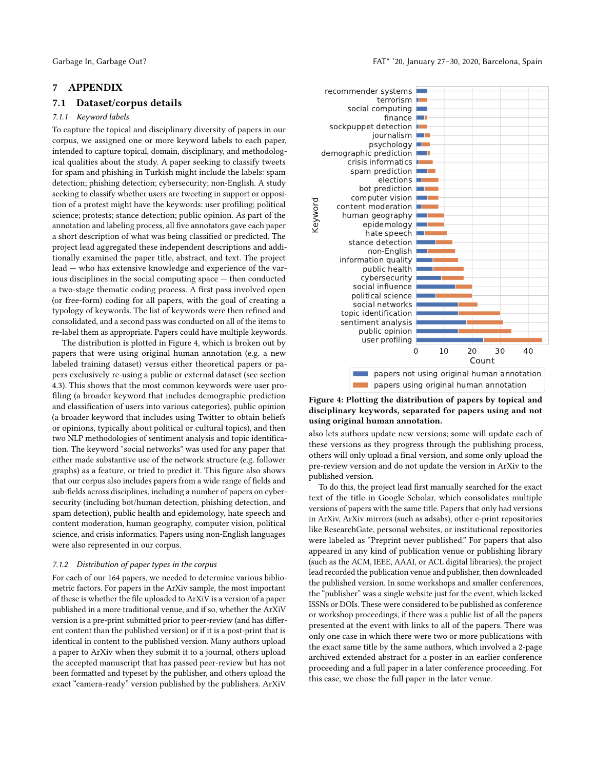# 7 APPENDIX

# 7.1 Dataset/corpus details

# <span id="page-12-0"></span>7.1.1 Keyword labels

To capture the topical and disciplinary diversity of papers in our corpus, we assigned one or more keyword labels to each paper, intended to capture topical, domain, disciplinary, and methodological qualities about the study. A paper seeking to classify tweets for spam and phishing in Turkish might include the labels: spam detection; phishing detection; cybersecurity; non-English. A study seeking to classify whether users are tweeting in support or opposition of a protest might have the keywords: user profiling; political science; protests; stance detection; public opinion. As part of the annotation and labeling process, all five annotators gave each paper a short description of what was being classified or predicted. The project lead aggregated these independent descriptions and additionally examined the paper title, abstract, and text. The project lead — who has extensive knowledge and experience of the various disciplines in the social computing space — then conducted a two-stage thematic coding process. A first pass involved open (or free-form) coding for all papers, with the goal of creating a typology of keywords. The list of keywords were then refined and consolidated, and a second pass was conducted on all of the items to re-label them as appropriate. Papers could have multiple keywords.

The distribution is plotted in Figure [4,](#page-12-2) which is broken out by papers that were using original human annotation (e.g. a new labeled training dataset) versus either theoretical papers or papers exclusively re-using a public or external dataset (see section [4.3\)](#page-5-3). This shows that the most common keywords were user profiling (a broader keyword that includes demographic prediction and classification of users into various categories), public opinion (a broader keyword that includes using Twitter to obtain beliefs or opinions, typically about political or cultural topics), and then two NLP methodologies of sentiment analysis and topic identification. The keyword "social networks" was used for any paper that either made substantive use of the network structure (e.g. follower graphs) as a feature, or tried to predict it. This figure also shows that our corpus also includes papers from a wide range of fields and sub-fields across disciplines, including a number of papers on cybersecurity (including bot/human detection, phishing detection, and spam detection), public health and epidemology, hate speech and content moderation, human geography, computer vision, political science, and crisis informatics. Papers using non-English languages were also represented in our corpus.

#### <span id="page-12-1"></span>7.1.2 Distribution of paper types in the corpus

For each of our 164 papers, we needed to determine various bibliometric factors. For papers in the ArXiv sample, the most important of these is whether the file uploaded to ArXiV is a version of a paper published in a more traditional venue, and if so, whether the ArXiV version is a pre-print submitted prior to peer-review (and has different content than the published version) or if it is a post-print that is identical in content to the published version. Many authors upload a paper to ArXiv when they submit it to a journal, others upload the accepted manuscript that has passed peer-review but has not been formatted and typeset by the publisher, and others upload the exact "camera-ready" version published by the publishers. ArXiV

<span id="page-12-2"></span>

## Figure 4: Plotting the distribution of papers by topical and disciplinary keywords, separated for papers using and not using original human annotation.

also lets authors update new versions; some will update each of these versions as they progress through the publishing process, others will only upload a final version, and some only upload the pre-review version and do not update the version in ArXiv to the published version.

To do this, the project lead first manually searched for the exact text of the title in Google Scholar, which consolidates multiple versions of papers with the same title. Papers that only had versions in ArXiv, ArXiv mirrors (such as adsabs), other e-print repositories like ResearchGate, personal websites, or institutional repositories were labeled as "Preprint never published." For papers that also appeared in any kind of publication venue or publishing library (such as the ACM, IEEE, AAAI, or ACL digital libraries), the project lead recorded the publication venue and publisher, then downloaded the published version. In some workshops and smaller conferences, the "publisher" was a single website just for the event, which lacked ISSNs or DOIs. These were considered to be published as conference or workshop proceedings, if there was a public list of all the papers presented at the event with links to all of the papers. There was only one case in which there were two or more publications with the exact same title by the same authors, which involved a 2-page archived extended abstract for a poster in an earlier conference proceeding and a full paper in a later conference proceeding. For this case, we chose the full paper in the later venue.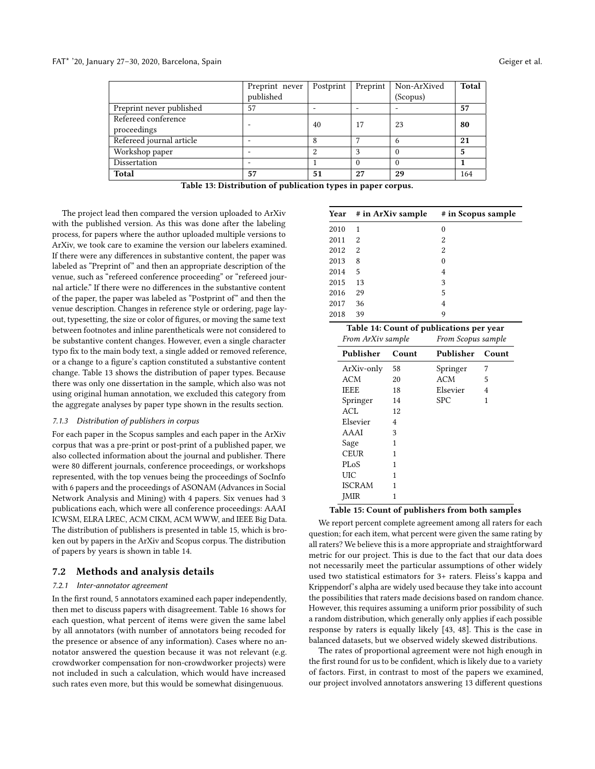#### <span id="page-13-2"></span>FAT\* '20, January 27-30, 2020, Barcelona, Spain

| Geiger et al. |  |
|---------------|--|
|               |  |

|                          | Preprint never           | Postprint | Preprint | Non-ArXived | <b>Total</b> |
|--------------------------|--------------------------|-----------|----------|-------------|--------------|
|                          | published                |           |          | (Scopus)    |              |
| Preprint never published | 57                       |           |          |             | 57           |
| Refereed conference      |                          | 40        | 17       | 23          | 80           |
| proceedings              |                          |           |          |             |              |
| Refereed journal article |                          | 8         |          | 6           | 21           |
| Workshop paper           |                          | 2         |          |             | 5            |
| Dissertation             | $\overline{\phantom{0}}$ |           | 0        |             |              |
| Total                    | 57                       | 51        | 27       | 29          | 164          |

Table 13: Distribution of publication types in paper corpus.

The project lead then compared the version uploaded to ArXiv with the published version. As this was done after the labeling process, for papers where the author uploaded multiple versions to ArXiv, we took care to examine the version our labelers examined. If there were any differences in substantive content, the paper was labeled as "Preprint of" and then an appropriate description of the venue, such as "refereed conference proceeding" or "refereed journal article." If there were no differences in the substantive content of the paper, the paper was labeled as "Postprint of" and then the venue description. Changes in reference style or ordering, page layout, typesetting, the size or color of figures, or moving the same text between footnotes and inline parentheticals were not considered to be substantive content changes. However, even a single character typo fix to the main body text, a single added or removed reference, or a change to a figure's caption constituted a substantive content change. Table [13](#page-13-2) shows the distribution of paper types. Because there was only one dissertation in the sample, which also was not using original human annotation, we excluded this category from the aggregate analyses by paper type shown in the results section.

# <span id="page-13-0"></span>7.1.3 Distribution of publishers in corpus

For each paper in the Scopus samples and each paper in the ArXiv corpus that was a pre-print or post-print of a published paper, we also collected information about the journal and publisher. There were 80 different journals, conference proceedings, or workshops represented, with the top venues being the proceedings of SocInfo with 6 papers and the proceedings of ASONAM (Advances in Social Network Analysis and Mining) with 4 papers. Six venues had 3 publications each, which were all conference proceedings: AAAI ICWSM, ELRA LREC, ACM CIKM, ACM WWW, and IEEE Big Data. The distribution of publishers is presented in table [15,](#page-13-3) which is broken out by papers in the ArXiv and Scopus corpus. The distribution of papers by years is shown in table [14.](#page-13-3)

# 7.2 Methods and analysis details

#### <span id="page-13-1"></span>7.2.1 Inter-annotator agreement

In the first round, 5 annotators examined each paper independently, then met to discuss papers with disagreement. Table [16](#page-14-0) shows for each question, what percent of items were given the same label by all annotators (with number of annotators being recoded for the presence or absence of any information). Cases where no annotator answered the question because it was not relevant (e.g. crowdworker compensation for non-crowdworker projects) were not included in such a calculation, which would have increased such rates even more, but this would be somewhat disingenuous.

<span id="page-13-3"></span>

|      | Year # in ArXiv sample | # in Scopus sample |
|------|------------------------|--------------------|
| 2010 | 1                      | 0                  |
| 2011 | 2                      | 2                  |
| 2012 | 2                      | 2                  |
| 2013 | 8                      | 0                  |
| 2014 | 5                      | 4                  |
| 2015 | 13                     | 3                  |
| 2016 | 29                     | 5                  |
| 2017 | 36                     | 4                  |
| 2018 | 39                     | 9                  |

| From ArXiv sample |       |            | Table 14: Count of publications per year<br>From Scopus sample |  |  |
|-------------------|-------|------------|----------------------------------------------------------------|--|--|
| Publisher         | Count |            | Count                                                          |  |  |
| ArXiv-only        | 58    | Springer   | 7                                                              |  |  |
| <b>ACM</b>        | 20    | ACM        | 5                                                              |  |  |
| <b>IEEE</b>       | 18    | Elsevier   | 4                                                              |  |  |
| Springer          | 14    | <b>SPC</b> | 1                                                              |  |  |
| ACL               | 12    |            |                                                                |  |  |
| Elsevier          | 4     |            |                                                                |  |  |
| AAAI              | 3     |            |                                                                |  |  |
| Sage              | 1     |            |                                                                |  |  |
| CEUR              | 1     |            |                                                                |  |  |
| <b>PLoS</b>       | 1     |            |                                                                |  |  |
| UІС               | 1     |            |                                                                |  |  |
| <b>ISCRAM</b>     | 1     |            |                                                                |  |  |
| <b>IMIR</b>       | 1     |            |                                                                |  |  |

#### Table 15: Count of publishers from both samples

We report percent complete agreement among all raters for each question; for each item, what percent were given the same rating by all raters? We believe this is a more appropriate and straightforward metric for our project. This is due to the fact that our data does not necessarily meet the particular assumptions of other widely used two statistical estimators for 3+ raters. Fleiss's kappa and Krippendorf's alpha are widely used because they take into account the possibilities that raters made decisions based on random chance. However, this requires assuming a uniform prior possibility of such a random distribution, which generally only applies if each possible response by raters is equally likely [\[43,](#page-10-39) [48\]](#page-11-18). This is the case in balanced datasets, but we observed widely skewed distributions.

The rates of proportional agreement were not high enough in the first round for us to be confident, which is likely due to a variety of factors. First, in contrast to most of the papers we examined, our project involved annotators answering 13 different questions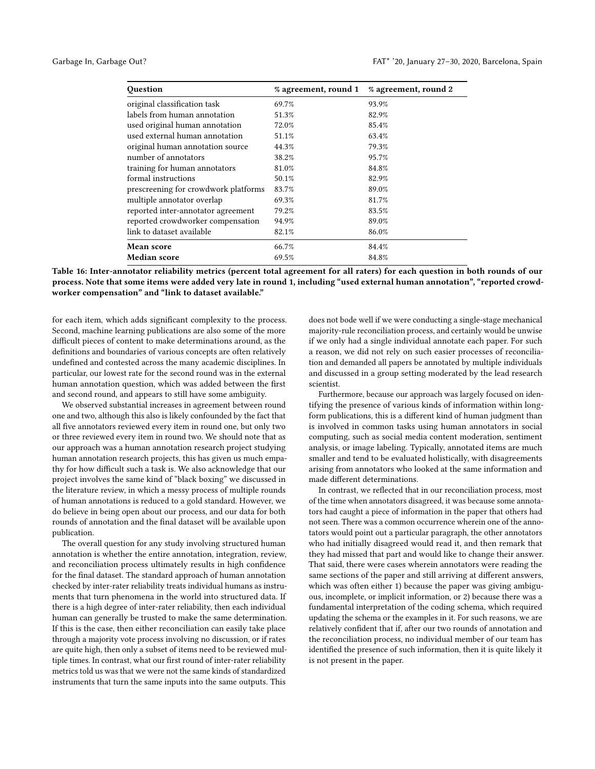<span id="page-14-0"></span>

| Question                             | % agreement, round 1 | % agreement, round 2 |
|--------------------------------------|----------------------|----------------------|
| original classification task         | 69.7%                | 93.9%                |
| labels from human annotation         | 51.3%                | 82.9%                |
| used original human annotation       | 72.0%                | 85.4%                |
| used external human annotation       | 51.1%                | 63.4%                |
| original human annotation source     | 44.3%                | 79.3%                |
| number of annotators                 | 38.2%                | 95.7%                |
| training for human annotators        | 81.0%                | 84.8%                |
| formal instructions                  | 50.1%                | 82.9%                |
| prescreening for crowdwork platforms | 83.7%                | 89.0%                |
| multiple annotator overlap           | 69.3%                | 81.7%                |
| reported inter-annotator agreement   | 79.2%                | 83.5%                |
| reported crowdworker compensation    | 94.9%                | 89.0%                |
| link to dataset available            | 82.1%                | 86.0%                |
| <b>Mean score</b>                    | 66.7%                | 84.4%                |
| <b>Median score</b>                  | 69.5%                | 84.8%                |

Table 16: Inter-annotator reliability metrics (percent total agreement for all raters) for each question in both rounds of our process. Note that some items were added very late in round 1, including "used external human annotation", "reported crowdworker compensation" and "link to dataset available."

for each item, which adds significant complexity to the process. Second, machine learning publications are also some of the more difficult pieces of content to make determinations around, as the definitions and boundaries of various concepts are often relatively undefined and contested across the many academic disciplines. In particular, our lowest rate for the second round was in the external human annotation question, which was added between the first and second round, and appears to still have some ambiguity.

We observed substantial increases in agreement between round one and two, although this also is likely confounded by the fact that all five annotators reviewed every item in round one, but only two or three reviewed every item in round two. We should note that as our approach was a human annotation research project studying human annotation research projects, this has given us much empathy for how difficult such a task is. We also acknowledge that our project involves the same kind of "black boxing" we discussed in the literature review, in which a messy process of multiple rounds of human annotations is reduced to a gold standard. However, we do believe in being open about our process, and our data for both rounds of annotation and the final dataset will be available upon publication.

The overall question for any study involving structured human annotation is whether the entire annotation, integration, review, and reconciliation process ultimately results in high confidence for the final dataset. The standard approach of human annotation checked by inter-rater reliability treats individual humans as instruments that turn phenomena in the world into structured data. If there is a high degree of inter-rater reliability, then each individual human can generally be trusted to make the same determination. If this is the case, then either reconciliation can easily take place through a majority vote process involving no discussion, or if rates are quite high, then only a subset of items need to be reviewed multiple times. In contrast, what our first round of inter-rater reliability metrics told us was that we were not the same kinds of standardized instruments that turn the same inputs into the same outputs. This

does not bode well if we were conducting a single-stage mechanical majority-rule reconciliation process, and certainly would be unwise if we only had a single individual annotate each paper. For such a reason, we did not rely on such easier processes of reconciliation and demanded all papers be annotated by multiple individuals and discussed in a group setting moderated by the lead research scientist.

Furthermore, because our approach was largely focused on identifying the presence of various kinds of information within longform publications, this is a different kind of human judgment than is involved in common tasks using human annotators in social computing, such as social media content moderation, sentiment analysis, or image labeling. Typically, annotated items are much smaller and tend to be evaluated holistically, with disagreements arising from annotators who looked at the same information and made different determinations.

In contrast, we reflected that in our reconciliation process, most of the time when annotators disagreed, it was because some annotators had caught a piece of information in the paper that others had not seen. There was a common occurrence wherein one of the annotators would point out a particular paragraph, the other annotators who had initially disagreed would read it, and then remark that they had missed that part and would like to change their answer. That said, there were cases wherein annotators were reading the same sections of the paper and still arriving at different answers, which was often either 1) because the paper was giving ambiguous, incomplete, or implicit information, or 2) because there was a fundamental interpretation of the coding schema, which required updating the schema or the examples in it. For such reasons, we are relatively confident that if, after our two rounds of annotation and the reconciliation process, no individual member of our team has identified the presence of such information, then it is quite likely it is not present in the paper.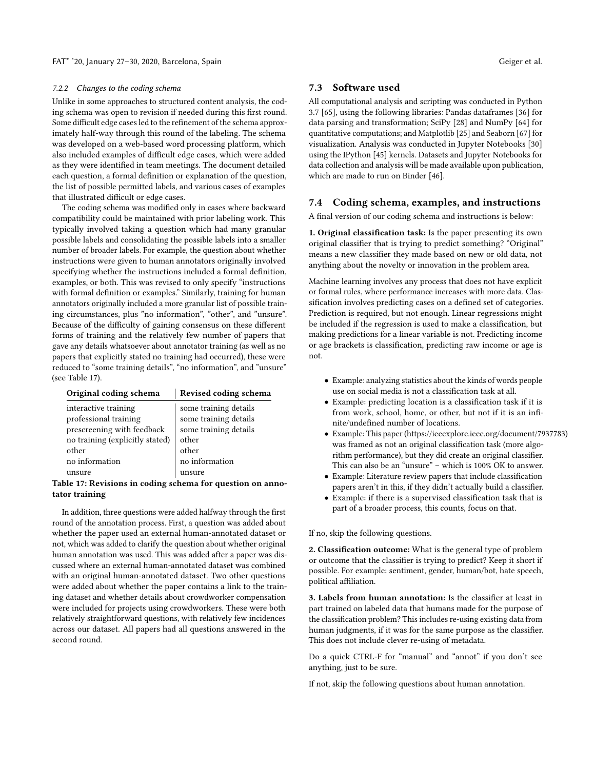#### <span id="page-15-0"></span>7.2.2 Changes to the coding schema

Unlike in some approaches to structured content analysis, the coding schema was open to revision if needed during this first round. Some difficult edge cases led to the refinement of the schema approximately half-way through this round of the labeling. The schema was developed on a web-based word processing platform, which also included examples of difficult edge cases, which were added as they were identified in team meetings. The document detailed each question, a formal definition or explanation of the question, the list of possible permitted labels, and various cases of examples that illustrated difficult or edge cases.

The coding schema was modified only in cases where backward compatibility could be maintained with prior labeling work. This typically involved taking a question which had many granular possible labels and consolidating the possible labels into a smaller number of broader labels. For example, the question about whether instructions were given to human annotators originally involved specifying whether the instructions included a formal definition, examples, or both. This was revised to only specify "instructions with formal definition or examples." Similarly, training for human annotators originally included a more granular list of possible training circumstances, plus "no information", "other", and "unsure". Because of the difficulty of gaining consensus on these different forms of training and the relatively few number of papers that gave any details whatsoever about annotator training (as well as no papers that explicitly stated no training had occurred), these were reduced to "some training details", "no information", and "unsure" (see Table [17\)](#page-15-2).

<span id="page-15-2"></span>

| Revised coding schema |  |
|-----------------------|--|
| some training details |  |
| some training details |  |
| some training details |  |
| other                 |  |
| other                 |  |
| no information        |  |
| unsure                |  |
|                       |  |

## Table 17: Revisions in coding schema for question on annotator training

In addition, three questions were added halfway through the first round of the annotation process. First, a question was added about whether the paper used an external human-annotated dataset or not, which was added to clarify the question about whether original human annotation was used. This was added after a paper was discussed where an external human-annotated dataset was combined with an original human-annotated dataset. Two other questions were added about whether the paper contains a link to the training dataset and whether details about crowdworker compensation were included for projects using crowdworkers. These were both relatively straightforward questions, with relatively few incidences across our dataset. All papers had all questions answered in the second round.

# 7.3 Software used

All computational analysis and scripting was conducted in Python 3.7 [\[65\]](#page-11-19), using the following libraries: Pandas dataframes [\[36\]](#page-10-40) for data parsing and transformation; SciPy [\[28\]](#page-10-41) and NumPy [\[64\]](#page-11-20) for quantitative computations; and Matplotlib [\[25\]](#page-10-42) and Seaborn [\[67\]](#page-11-21) for visualization. Analysis was conducted in Jupyter Notebooks [\[30\]](#page-10-43) using the IPython [\[45\]](#page-10-44) kernels. Datasets and Jupyter Notebooks for data collection and analysis will be made available upon publication, which are made to run on Binder [\[46\]](#page-11-22).

## <span id="page-15-1"></span>7.4 Coding schema, examples, and instructions

A final version of our coding schema and instructions is below:

1. Original classification task: Is the paper presenting its own original classifier that is trying to predict something? "Original" means a new classifier they made based on new or old data, not anything about the novelty or innovation in the problem area.

Machine learning involves any process that does not have explicit or formal rules, where performance increases with more data. Classification involves predicting cases on a defined set of categories. Prediction is required, but not enough. Linear regressions might be included if the regression is used to make a classification, but making predictions for a linear variable is not. Predicting income or age brackets is classification, predicting raw income or age is not.

- Example: analyzing statistics about the kinds of words people use on social media is not a classification task at all.
- Example: predicting location is a classification task if it is from work, school, home, or other, but not if it is an infinite/undefined number of locations.
- Example: This paper (https://ieeexplore.ieee.org/document/7937783) was framed as not an original classification task (more algorithm performance), but they did create an original classifier. This can also be an "unsure" – which is 100% OK to answer.
- Example: Literature review papers that include classification papers aren't in this, if they didn't actually build a classifier.
- Example: if there is a supervised classification task that is part of a broader process, this counts, focus on that.

If no, skip the following questions.

2. Classification outcome: What is the general type of problem or outcome that the classifier is trying to predict? Keep it short if possible. For example: sentiment, gender, human/bot, hate speech, political affiliation.

3. Labels from human annotation: Is the classifier at least in part trained on labeled data that humans made for the purpose of the classification problem? This includes re-using existing data from human judgments, if it was for the same purpose as the classifier. This does not include clever re-using of metadata.

Do a quick CTRL-F for "manual" and "annot" if you don't see anything, just to be sure.

If not, skip the following questions about human annotation.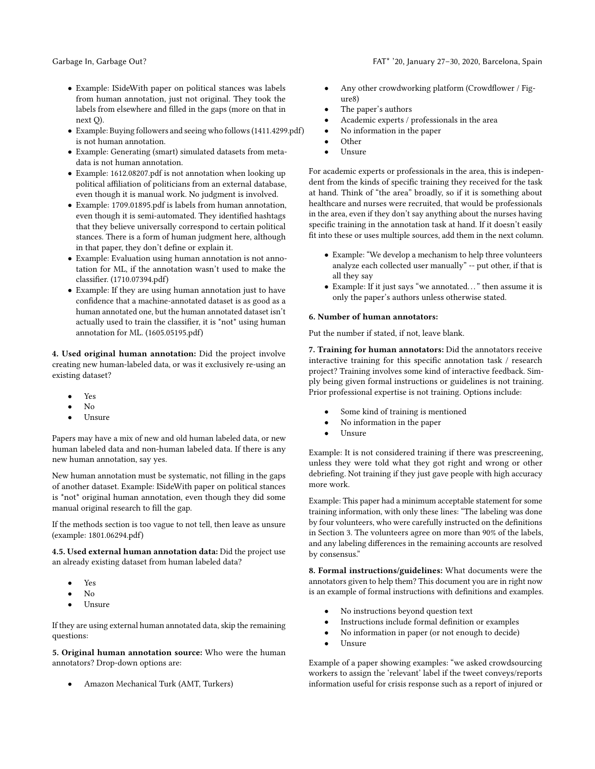- Example: ISideWith paper on political stances was labels from human annotation, just not original. They took the labels from elsewhere and filled in the gaps (more on that in next Q).
- Example: Buying followers and seeing who follows (1411.4299.pdf) is not human annotation.
- Example: Generating (smart) simulated datasets from metadata is not human annotation.
- Example: 1612.08207.pdf is not annotation when looking up political affiliation of politicians from an external database, even though it is manual work. No judgment is involved.
- Example: 1709.01895.pdf is labels from human annotation, even though it is semi-automated. They identified hashtags that they believe universally correspond to certain political stances. There is a form of human judgment here, although in that paper, they don't define or explain it.
- Example: Evaluation using human annotation is not annotation for ML, if the annotation wasn't used to make the classifier. (1710.07394.pdf)
- Example: If they are using human annotation just to have confidence that a machine-annotated dataset is as good as a human annotated one, but the human annotated dataset isn't actually used to train the classifier, it is \*not\* using human annotation for ML. (1605.05195.pdf)

4. Used original human annotation: Did the project involve creating new human-labeled data, or was it exclusively re-using an existing dataset?

- Yes
- $N_{\Omega}$
- Unsure

Papers may have a mix of new and old human labeled data, or new human labeled data and non-human labeled data. If there is any new human annotation, say yes.

New human annotation must be systematic, not filling in the gaps of another dataset. Example: ISideWith paper on political stances is \*not\* original human annotation, even though they did some manual original research to fill the gap.

If the methods section is too vague to not tell, then leave as unsure (example: 1801.06294.pdf)

4.5. Used external human annotation data: Did the project use an already existing dataset from human labeled data?

- Yes
- $N<sub>0</sub>$
- Unsure

If they are using external human annotated data, skip the remaining questions:

5. Original human annotation source: Who were the human annotators? Drop-down options are:

• Amazon Mechanical Turk (AMT, Turkers)

- Any other crowdworking platform (Crowdflower / Figure8)
- The paper's authors
- Academic experts / professionals in the area
- No information in the paper
- Other
- Unsure

For academic experts or professionals in the area, this is independent from the kinds of specific training they received for the task at hand. Think of "the area" broadly, so if it is something about healthcare and nurses were recruited, that would be professionals in the area, even if they don't say anything about the nurses having specific training in the annotation task at hand. If it doesn't easily fit into these or uses multiple sources, add them in the next column.

- Example: "We develop a mechanism to help three volunteers analyze each collected user manually" -- put other, if that is all they say
- Example: If it just says "we annotated. . . " then assume it is only the paper's authors unless otherwise stated.

#### 6. Number of human annotators:

Put the number if stated, if not, leave blank.

7. Training for human annotators: Did the annotators receive interactive training for this specific annotation task / research project? Training involves some kind of interactive feedback. Simply being given formal instructions or guidelines is not training. Prior professional expertise is not training. Options include:

- Some kind of training is mentioned
- No information in the paper
- Unsure

Example: It is not considered training if there was prescreening, unless they were told what they got right and wrong or other debriefing. Not training if they just gave people with high accuracy more work.

Example: This paper had a minimum acceptable statement for some training information, with only these lines: "The labeling was done by four volunteers, who were carefully instructed on the definitions in Section 3. The volunteers agree on more than 90% of the labels, and any labeling differences in the remaining accounts are resolved by consensus."

8. Formal instructions/guidelines: What documents were the annotators given to help them? This document you are in right now is an example of formal instructions with definitions and examples.

- No instructions beyond question text
- Instructions include formal definition or examples
- No information in paper (or not enough to decide)
- Unsure

Example of a paper showing examples: "we asked crowdsourcing workers to assign the 'relevant' label if the tweet conveys/reports information useful for crisis response such as a report of injured or